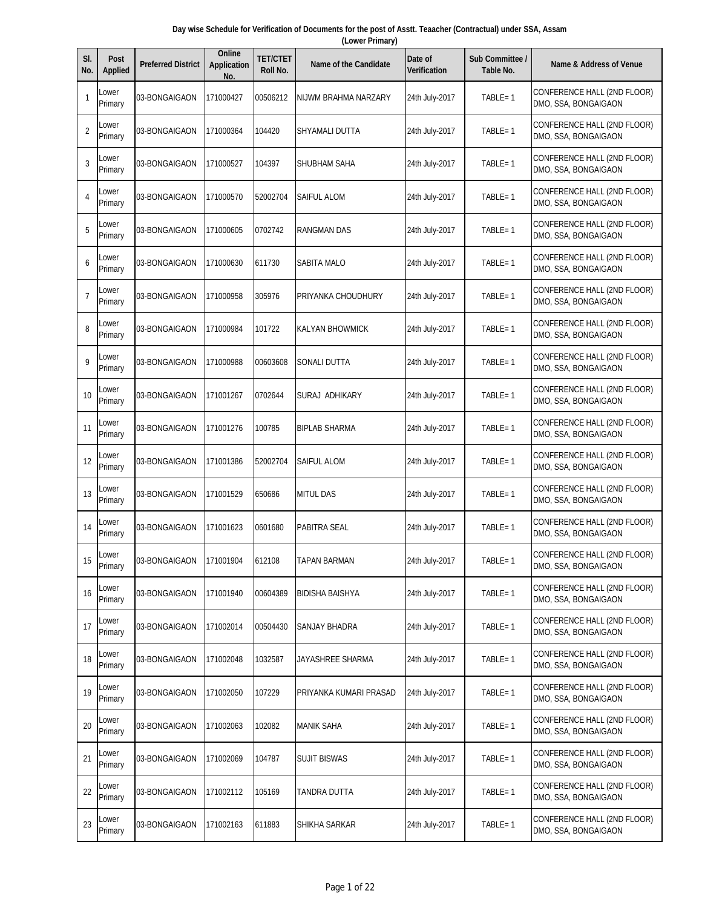| Day wise Schedule for Verification of Documents for the post of Asstt. Teaacher (Contractual) under SSA, Assam |  |
|----------------------------------------------------------------------------------------------------------------|--|
| (Lower Primary)                                                                                                |  |

| SI.<br>No.   | <b>Post</b><br><b>Applied</b> | <b>Preferred District</b> | Online<br><b>Application</b><br>No. | <b>TET/CTET</b><br>Roll No. | <b>Name of the Candidate</b> | Date of<br><b>Verification</b> | Sub Committee /<br>Table No. | <b>Name &amp; Address of Venue</b>                  |
|--------------|-------------------------------|---------------------------|-------------------------------------|-----------------------------|------------------------------|--------------------------------|------------------------------|-----------------------------------------------------|
| $\mathbf{1}$ | Lower<br>Primary              | 03-BONGAIGAON             | 171000427                           | 00506212                    | NIJWM BRAHMA NARZARY         | 24th July-2017                 | TABLE=1                      | CONFERENCE HALL (2ND FLOOR)<br>DMO, SSA, BONGAIGAON |
| 2            | Lower<br>Primary              | 03-BONGAIGAON             | 171000364                           | 104420                      | SHYAMALI DUTTA               | 24th July-2017                 | TABLE=1                      | CONFERENCE HALL (2ND FLOOR)<br>DMO, SSA, BONGAIGAON |
| 3            | Lower<br>Primary              | 03-BONGAIGAON             | 171000527                           | 104397                      | SHUBHAM SAHA                 | 24th July-2017                 | $TABLE = 1$                  | CONFERENCE HALL (2ND FLOOR)<br>DMO, SSA, BONGAIGAON |
| 4            | Lower<br>Primary              | 03-BONGAIGAON             | 171000570                           | 52002704                    | SAIFUL ALOM                  | 24th July-2017                 | TABLE=1                      | CONFERENCE HALL (2ND FLOOR)<br>DMO, SSA, BONGAIGAON |
| 5            | Lower<br>Primary              | 03-BONGAIGAON             | 171000605                           | 0702742                     | RANGMAN DAS                  | 24th July-2017                 | TABLE=1                      | CONFERENCE HALL (2ND FLOOR)<br>DMO, SSA, BONGAIGAON |
| 6            | _ower<br>Primary              | 03-BONGAIGAON             | 171000630                           | 611730                      | SABITA MALO                  | 24th July-2017                 | TABLE=1                      | CONFERENCE HALL (2ND FLOOR)<br>DMO, SSA, BONGAIGAON |
| 7            | Lower<br>Primary              | 03-BONGAIGAON             | 171000958                           | 305976                      | PRIYANKA CHOUDHURY           | 24th July-2017                 | TABLE=1                      | CONFERENCE HALL (2ND FLOOR)<br>DMO, SSA, BONGAIGAON |
| 8            | Lower<br>Primary              | 03-BONGAIGAON             | 171000984                           | 101722                      | <b>KALYAN BHOWMICK</b>       | 24th July-2017                 | $TABLE = 1$                  | CONFERENCE HALL (2ND FLOOR)<br>DMO, SSA, BONGAIGAON |
| 9            | Lower<br>Primary              | 03-BONGAIGAON             | 171000988                           | 00603608                    | SONALI DUTTA                 | 24th July-2017                 | TABLE=1                      | CONFERENCE HALL (2ND FLOOR)<br>DMO, SSA, BONGAIGAON |
| 10           | Lower<br>Primary              | 03-BONGAIGAON             | 171001267                           | 0702644                     | SURAJ ADHIKARY               | 24th July-2017                 | TABLE=1                      | CONFERENCE HALL (2ND FLOOR)<br>DMO, SSA, BONGAIGAON |
| 11           | Lower<br>Primary              | 03-BONGAIGAON             | 171001276                           | 100785                      | <b>BIPLAB SHARMA</b>         | 24th July-2017                 | TABLE=1                      | CONFERENCE HALL (2ND FLOOR)<br>DMO, SSA, BONGAIGAON |
| 12           | Lower<br>Primary              | 03-BONGAIGAON             | 171001386                           | 52002704                    | SAIFUL ALOM                  | 24th July-2017                 | TABLE=1                      | CONFERENCE HALL (2ND FLOOR)<br>DMO, SSA, BONGAIGAON |
| 13           | Lower<br>Primary              | 03-BONGAIGAON             | 171001529                           | 650686                      | <b>MITUL DAS</b>             | 24th July-2017                 | TABLE=1                      | CONFERENCE HALL (2ND FLOOR)<br>DMO, SSA, BONGAIGAON |
| 14           | _ower<br>Primary              | 03-BONGAIGAON             | 171001623                           | 0601680                     | PABITRA SEAL                 | 24th July-2017                 | TABLE=1                      | CONFERENCE HALL (2ND FLOOR)<br>DMO, SSA, BONGAIGAON |
| 15           | Lower<br>Primary              | 03-BONGAIGAON             | 171001904                           | 612108                      | TAPAN BARMAN                 | 24th July-2017                 | TABLE=1                      | CONFERENCE HALL (2ND FLOOR)<br>DMO, SSA, BONGAIGAON |
| 16           | Lower<br>Primary              | 03-BONGAIGAON             | 171001940                           | 00604389                    | <b>BIDISHA BAISHYA</b>       | 24th July-2017                 | TABLE=1                      | CONFERENCE HALL (2ND FLOOR)<br>DMO, SSA, BONGAIGAON |
| 17           | Lower<br>Primary              | 03-BONGAIGAON             | 171002014                           | 00504430                    | SANJAY BHADRA                | 24th July-2017                 | TABLE=1                      | CONFERENCE HALL (2ND FLOOR)<br>DMO, SSA, BONGAIGAON |
| 18           | Lower<br>Primary              | 03-BONGAIGAON             | 171002048                           | 1032587                     | JAYASHREE SHARMA             | 24th July-2017                 | TABLE=1                      | CONFERENCE HALL (2ND FLOOR)<br>DMO, SSA, BONGAIGAON |
| 19           | Lower<br>Primary              | 03-BONGAIGAON             | 171002050                           | 107229                      | PRIYANKA KUMARI PRASAD       | 24th July-2017                 | TABLE=1                      | CONFERENCE HALL (2ND FLOOR)<br>DMO, SSA, BONGAIGAON |
| 20           | Lower<br>Primary              | 03-BONGAIGAON             | 171002063                           | 102082                      | <b>MANIK SAHA</b>            | 24th July-2017                 | TABLE=1                      | CONFERENCE HALL (2ND FLOOR)<br>DMO, SSA, BONGAIGAON |
| 21           | Lower<br>Primary              | 03-BONGAIGAON             | 171002069                           | 104787                      | <b>SUJIT BISWAS</b>          | 24th July-2017                 | TABLE=1                      | CONFERENCE HALL (2ND FLOOR)<br>DMO, SSA, BONGAIGAON |
| 22           | Lower<br>Primary              | 03-BONGAIGAON             | 171002112                           | 105169                      | TANDRA DUTTA                 | 24th July-2017                 | TABLE=1                      | CONFERENCE HALL (2ND FLOOR)<br>DMO, SSA, BONGAIGAON |
| 23           | Lower<br>Primary              | 03-BONGAIGAON             | 171002163                           | 611883                      | SHIKHA SARKAR                | 24th July-2017                 | TABLE=1                      | CONFERENCE HALL (2ND FLOOR)<br>DMO, SSA, BONGAIGAON |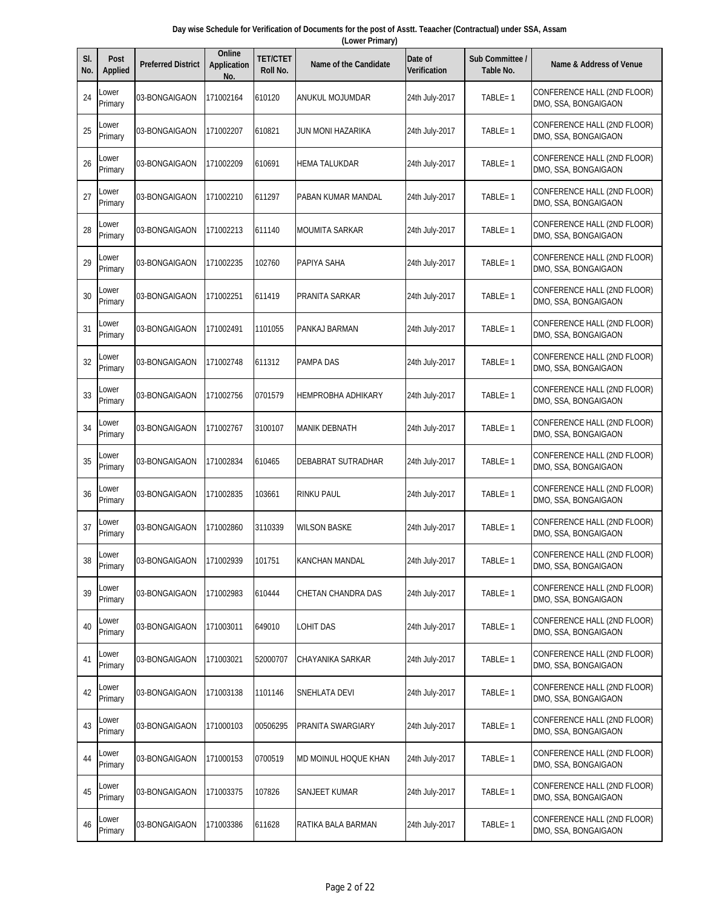|  | Day wise Schedule for Verification of Documents for the post of Asstt. Teaacher (Contractual) under SSA, Assam |  |  |
|--|----------------------------------------------------------------------------------------------------------------|--|--|
|  | (Lower Primary)                                                                                                |  |  |
|  |                                                                                                                |  |  |

| SI.<br>No. | <b>Post</b><br><b>Applied</b> | <b>Preferred District</b> | Online<br><b>Application</b><br>No. | <b>TET/CTET</b><br>Roll No. | <b>Name of the Candidate</b> | Date of<br><b>Verification</b> | Sub Committee /<br>Table No. | <b>Name &amp; Address of Venue</b>                  |
|------------|-------------------------------|---------------------------|-------------------------------------|-----------------------------|------------------------------|--------------------------------|------------------------------|-----------------------------------------------------|
| 24         | _ower<br>Primary              | 03-BONGAIGAON             | 171002164                           | 610120                      | ANUKUL MOJUMDAR              | 24th July-2017                 | TABLE=1                      | CONFERENCE HALL (2ND FLOOR)<br>DMO, SSA, BONGAIGAON |
| 25         | Lower<br>Primary              | 03-BONGAIGAON             | 171002207                           | 610821                      | JUN MONI HAZARIKA            | 24th July-2017                 | TABLE=1                      | CONFERENCE HALL (2ND FLOOR)<br>DMO, SSA, BONGAIGAON |
| 26         | Lower<br>Primary              | 03-BONGAIGAON             | 171002209                           | 610691                      | <b>HEMA TALUKDAR</b>         | 24th July-2017                 | $TABLE = 1$                  | CONFERENCE HALL (2ND FLOOR)<br>DMO, SSA, BONGAIGAON |
| 27         | Lower<br>Primary              | 03-BONGAIGAON             | 171002210                           | 611297                      | PABAN KUMAR MANDAL           | 24th July-2017                 | TABLE=1                      | CONFERENCE HALL (2ND FLOOR)<br>DMO, SSA, BONGAIGAON |
| 28         | Lower<br>Primary              | 03-BONGAIGAON             | 171002213                           | 611140                      | <b>MOUMITA SARKAR</b>        | 24th July-2017                 | $TABLE = 1$                  | CONFERENCE HALL (2ND FLOOR)<br>DMO, SSA, BONGAIGAON |
| 29         | Lower<br>Primary              | 03-BONGAIGAON             | 171002235                           | 102760                      | PAPIYA SAHA                  | 24th July-2017                 | TABLE=1                      | CONFERENCE HALL (2ND FLOOR)<br>DMO, SSA, BONGAIGAON |
| 30         | Lower<br>Primary              | 03-BONGAIGAON             | 171002251                           | 611419                      | PRANITA SARKAR               | 24th July-2017                 | TABLE=1                      | CONFERENCE HALL (2ND FLOOR)<br>DMO, SSA, BONGAIGAON |
| 31         | Lower<br>Primary              | 03-BONGAIGAON             | 171002491                           | 1101055                     | PANKAJ BARMAN                | 24th July-2017                 | $TABLE = 1$                  | CONFERENCE HALL (2ND FLOOR)<br>DMO, SSA, BONGAIGAON |
| 32         | Lower<br>Primary              | 03-BONGAIGAON             | 171002748                           | 611312                      | <b>PAMPA DAS</b>             | 24th July-2017                 | $TABLE = 1$                  | CONFERENCE HALL (2ND FLOOR)<br>DMO, SSA, BONGAIGAON |
| 33         | Lower<br>Primary              | 03-BONGAIGAON             | 171002756                           | 0701579                     | <b>HEMPROBHA ADHIKARY</b>    | 24th July-2017                 | TABLE=1                      | CONFERENCE HALL (2ND FLOOR)<br>DMO, SSA, BONGAIGAON |
| 34         | Lower<br>Primary              | 03-BONGAIGAON             | 171002767                           | 3100107                     | <b>MANIK DEBNATH</b>         | 24th July-2017                 | TABLE=1                      | CONFERENCE HALL (2ND FLOOR)<br>DMO, SSA, BONGAIGAON |
| 35         | Lower<br>Primary              | 03-BONGAIGAON             | 171002834                           | 610465                      | DEBABRAT SUTRADHAR           | 24th July-2017                 | TABLE=1                      | CONFERENCE HALL (2ND FLOOR)<br>DMO, SSA, BONGAIGAON |
| 36         | Lower<br>Primary              | 03-BONGAIGAON             | 171002835                           | 103661                      | RINKU PAUL                   | 24th July-2017                 | TABLE=1                      | CONFERENCE HALL (2ND FLOOR)<br>DMO, SSA, BONGAIGAON |
| 37         | _ower<br>Primary              | 03-BONGAIGAON             | 171002860                           | 3110339                     | <b>WILSON BASKE</b>          | 24th July-2017                 | TABLE=1                      | CONFERENCE HALL (2ND FLOOR)<br>DMO, SSA, BONGAIGAON |
| 38         | Lower<br>Primary              | 03-BONGAIGAON             | 171002939                           | 101751                      | KANCHAN MANDAL               | 24th July-2017                 | TABLE=1                      | CONFERENCE HALL (2ND FLOOR)<br>DMO, SSA, BONGAIGAON |
| 39         | Lower<br>Primary              | 03-BONGAIGAON             | 171002983                           | 610444                      | CHETAN CHANDRA DAS           | 24th July-2017                 | $TABLE = 1$                  | CONFERENCE HALL (2ND FLOOR)<br>DMO, SSA, BONGAIGAON |
| 40         | Lower<br>Primary              | 03-BONGAIGAON             | 171003011                           | 649010                      | LOHIT DAS                    | 24th July-2017                 | TABLE=1                      | CONFERENCE HALL (2ND FLOOR)<br>DMO, SSA, BONGAIGAON |
| 41         | Lower<br>Primary              | 03-BONGAIGAON             | 171003021                           | 52000707                    | CHAYANIKA SARKAR             | 24th July-2017                 | $TABLE = 1$                  | CONFERENCE HALL (2ND FLOOR)<br>DMO, SSA, BONGAIGAON |
| 42         | Lower<br>Primary              | 03-BONGAIGAON             | 171003138                           | 1101146                     | SNEHLATA DEVI                | 24th July-2017                 | TABLE=1                      | CONFERENCE HALL (2ND FLOOR)<br>DMO, SSA, BONGAIGAON |
| 43         | Lower<br>Primary              | 03-BONGAIGAON             | 171000103                           | 00506295                    | PRANITA SWARGIARY            | 24th July-2017                 | TABLE=1                      | CONFERENCE HALL (2ND FLOOR)<br>DMO, SSA, BONGAIGAON |
| 44         | Lower<br>Primary              | 03-BONGAIGAON             | 171000153                           | 0700519                     | MD MOINUL HOQUE KHAN         | 24th July-2017                 | TABLE=1                      | CONFERENCE HALL (2ND FLOOR)<br>DMO, SSA, BONGAIGAON |
| 45         | Lower<br>Primary              | 03-BONGAIGAON             | 171003375                           | 107826                      | SANJEET KUMAR                | 24th July-2017                 | TABLE=1                      | CONFERENCE HALL (2ND FLOOR)<br>DMO, SSA, BONGAIGAON |
| 46         | Lower<br>Primary              | 03-BONGAIGAON             | 171003386                           | 611628                      | RATIKA BALA BARMAN           | 24th July-2017                 | $TABLE = 1$                  | CONFERENCE HALL (2ND FLOOR)<br>DMO, SSA, BONGAIGAON |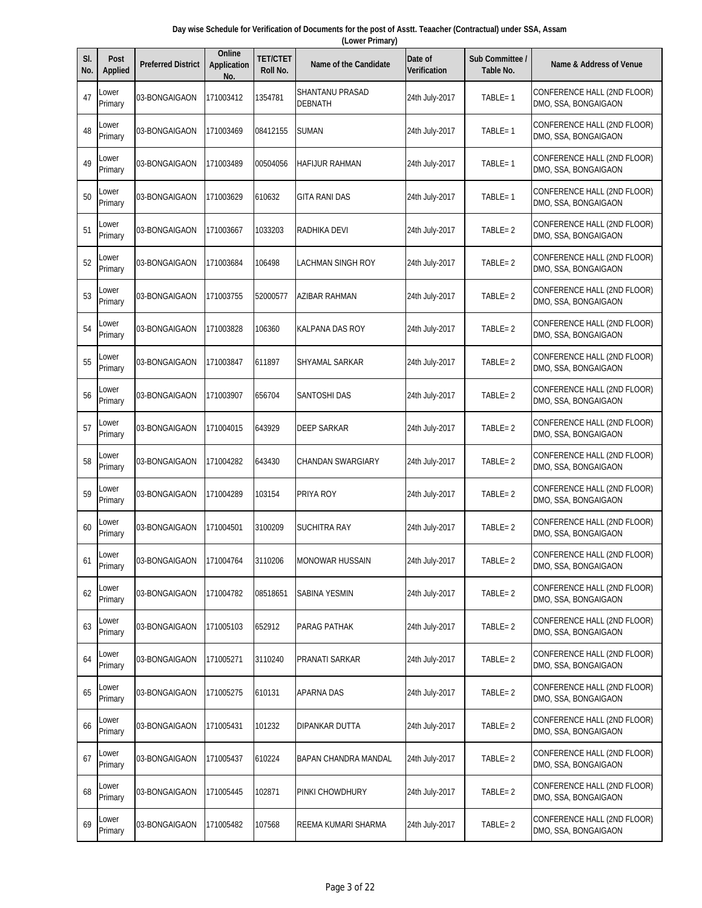| Day wise Schedule for Verification of Documents for the post of Asstt. Teaacher (Contractual) under SSA, Assam |  |                 |  |  |  |  |  |  |  |
|----------------------------------------------------------------------------------------------------------------|--|-----------------|--|--|--|--|--|--|--|
|                                                                                                                |  | (Lower Primary) |  |  |  |  |  |  |  |
|                                                                                                                |  |                 |  |  |  |  |  |  |  |

| SI.<br>No. | <b>Post</b><br><b>Applied</b> | <b>Preferred District</b> | Online<br><b>Application</b><br>No. | <b>TET/CTET</b><br>Roll No. | <b>Name of the Candidate</b>             | Date of<br>Verification | <b>Sub Committee /</b><br>Table No. | Name & Address of Venue                             |
|------------|-------------------------------|---------------------------|-------------------------------------|-----------------------------|------------------------------------------|-------------------------|-------------------------------------|-----------------------------------------------------|
| 47         | Lower<br>Primary              | 03-BONGAIGAON             | 171003412                           | 1354781                     | <b>SHANTANU PRASAD</b><br><b>DEBNATH</b> | 24th July-2017          | TABLE=1                             | CONFERENCE HALL (2ND FLOOR)<br>DMO, SSA, BONGAIGAON |
| 48         | Lower<br>Primary              | 03-BONGAIGAON             | 171003469                           | 08412155                    | <b>SUMAN</b>                             | 24th July-2017          | $TABLE = 1$                         | CONFERENCE HALL (2ND FLOOR)<br>DMO, SSA, BONGAIGAON |
| 49         | Lower<br>Primary              | 03-BONGAIGAON             | 171003489                           | 00504056                    | <b>HAFIJUR RAHMAN</b>                    | 24th July-2017          | $TABLE = 1$                         | CONFERENCE HALL (2ND FLOOR)<br>DMO, SSA, BONGAIGAON |
| 50         | Lower<br>Primary              | 03-BONGAIGAON             | 171003629                           | 610632                      | <b>GITA RANI DAS</b>                     | 24th July-2017          | $TABLE = 1$                         | CONFERENCE HALL (2ND FLOOR)<br>DMO, SSA, BONGAIGAON |
| 51         | Lower<br>Primary              | 03-BONGAIGAON             | 171003667                           | 1033203                     | RADHIKA DEVI                             | 24th July-2017          | $TABLE = 2$                         | CONFERENCE HALL (2ND FLOOR)<br>DMO, SSA, BONGAIGAON |
| 52         | Lower<br>Primary              | 03-BONGAIGAON             | 171003684                           | 106498                      | <b>LACHMAN SINGH ROY</b>                 | 24th July-2017          | $TABLE = 2$                         | CONFERENCE HALL (2ND FLOOR)<br>DMO, SSA, BONGAIGAON |
| 53         | Lower<br>Primary              | 03-BONGAIGAON             | 171003755                           | 52000577                    | <b>AZIBAR RAHMAN</b>                     | 24th July-2017          | $TABLE = 2$                         | CONFERENCE HALL (2ND FLOOR)<br>DMO, SSA, BONGAIGAON |
| 54         | Lower<br>Primary              | 03-BONGAIGAON             | 171003828                           | 106360                      | KALPANA DAS ROY                          | 24th July-2017          | $TABLE = 2$                         | CONFERENCE HALL (2ND FLOOR)<br>DMO, SSA, BONGAIGAON |
| 55         | Lower<br>Primary              | 03-BONGAIGAON             | 171003847                           | 611897                      | SHYAMAL SARKAR                           | 24th July-2017          | $TABLE = 2$                         | CONFERENCE HALL (2ND FLOOR)<br>DMO, SSA, BONGAIGAON |
| 56         | Lower<br>Primary              | 03-BONGAIGAON             | 171003907                           | 656704                      | SANTOSHI DAS                             | 24th July-2017          | $TABLE = 2$                         | CONFERENCE HALL (2ND FLOOR)<br>DMO, SSA, BONGAIGAON |
| 57         | Lower<br>Primary              | 03-BONGAIGAON             | 171004015                           | 643929                      | <b>DEEP SARKAR</b>                       | 24th July-2017          | $TABLE = 2$                         | CONFERENCE HALL (2ND FLOOR)<br>DMO, SSA, BONGAIGAON |
| 58         | Lower<br>Primary              | 03-BONGAIGAON             | 171004282                           | 643430                      | <b>CHANDAN SWARGIARY</b>                 | 24th July-2017          | $TABLE = 2$                         | CONFERENCE HALL (2ND FLOOR)<br>DMO, SSA, BONGAIGAON |
| 59         | Lower<br>Primary              | 03-BONGAIGAON             | 171004289                           | 103154                      | PRIYA ROY                                | 24th July-2017          | $TABLE = 2$                         | CONFERENCE HALL (2ND FLOOR)<br>DMO, SSA, BONGAIGAON |
| 60         | Lower<br>Primary              | 03-BONGAIGAON             | 171004501                           | 3100209                     | <b>SUCHITRA RAY</b>                      | 24th July-2017          | $TABLE = 2$                         | CONFERENCE HALL (2ND FLOOR)<br>DMO, SSA, BONGAIGAON |
| 61         | Lower<br>Primary              | 03-BONGAIGAON             | 171004764                           | 3110206                     | <b>MONOWAR HUSSAIN</b>                   | 24th July-2017          | TABLE=2                             | CONFERENCE HALL (2ND FLOOR)<br>DMO, SSA, BONGAIGAON |
| 62         | Lower<br>Primary              | 03-BONGAIGAON             | 171004782                           | 08518651                    | SABINA YESMIN                            | 24th July-2017          | $TABLE = 2$                         | CONFERENCE HALL (2ND FLOOR)<br>DMO, SSA, BONGAIGAON |
| 63         | Lower<br>Primary              | 03-BONGAIGAON             | 171005103                           | 652912                      | PARAG PATHAK                             | 24th July-2017          | $TABLE = 2$                         | CONFERENCE HALL (2ND FLOOR)<br>DMO, SSA, BONGAIGAON |
| 64         | Lower<br>Primary              | 03-BONGAIGAON             | 171005271                           | 3110240                     | PRANATI SARKAR                           | 24th July-2017          | $TABLE = 2$                         | CONFERENCE HALL (2ND FLOOR)<br>DMO, SSA, BONGAIGAON |
| 65         | Lower<br>Primary              | 03-BONGAIGAON             | 171005275                           | 610131                      | <b>APARNA DAS</b>                        | 24th July-2017          | TABLE=2                             | CONFERENCE HALL (2ND FLOOR)<br>DMO, SSA, BONGAIGAON |
| 66         | Lower<br>Primary              | 03-BONGAIGAON             | 171005431                           | 101232                      | DIPANKAR DUTTA                           | 24th July-2017          | $TABLE = 2$                         | CONFERENCE HALL (2ND FLOOR)<br>DMO, SSA, BONGAIGAON |
| 67         | Lower<br>Primary              | 03-BONGAIGAON             | 171005437                           | 610224                      | BAPAN CHANDRA MANDAL                     | 24th July-2017          | TABLE=2                             | CONFERENCE HALL (2ND FLOOR)<br>DMO, SSA, BONGAIGAON |
| 68         | Lower<br>Primary              | 03-BONGAIGAON             | 171005445                           | 102871                      | PINKI CHOWDHURY                          | 24th July-2017          | $TABLE = 2$                         | CONFERENCE HALL (2ND FLOOR)<br>DMO, SSA, BONGAIGAON |
| 69         | Lower<br>Primary              | 03-BONGAIGAON             | 171005482                           | 107568                      | REEMA KUMARI SHARMA                      | 24th July-2017          | $TABLE = 2$                         | CONFERENCE HALL (2ND FLOOR)<br>DMO, SSA, BONGAIGAON |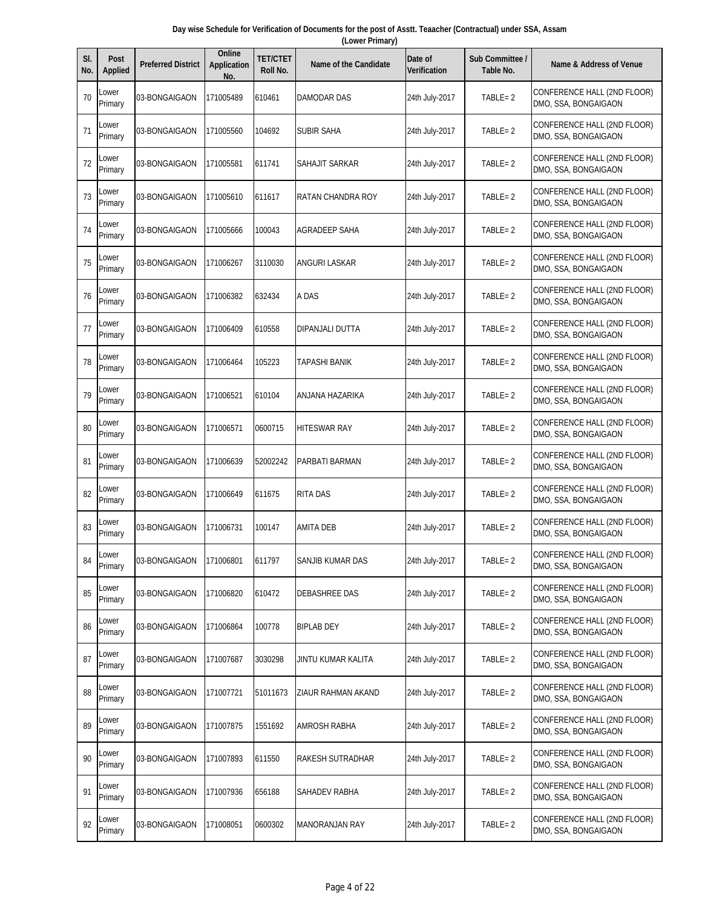| Day wise Schedule for Verification of Documents for the post of Asstt. Teaacher (Contractual) under SSA, Assam |  |  |                 |  |  |  |  |  |
|----------------------------------------------------------------------------------------------------------------|--|--|-----------------|--|--|--|--|--|
|                                                                                                                |  |  | (Lower Primary) |  |  |  |  |  |
|                                                                                                                |  |  |                 |  |  |  |  |  |

| SI.<br>No. | <b>Post</b><br><b>Applied</b> | <b>Preferred District</b> | Online<br><b>Application</b><br>No. | <b>TET/CTET</b><br>Roll No. | <b>Name of the Candidate</b> | Date of<br><b>Verification</b> | Sub Committee /<br>Table No. | <b>Name &amp; Address of Venue</b>                  |
|------------|-------------------------------|---------------------------|-------------------------------------|-----------------------------|------------------------------|--------------------------------|------------------------------|-----------------------------------------------------|
| 70         | Lower<br>Primary              | 03-BONGAIGAON             | 171005489                           | 610461                      | DAMODAR DAS                  | 24th July-2017                 | $TABLE = 2$                  | CONFERENCE HALL (2ND FLOOR)<br>DMO, SSA, BONGAIGAON |
| 71         | Lower<br>Primary              | 03-BONGAIGAON             | 171005560                           | 104692                      | SUBIR SAHA                   | 24th July-2017                 | $TABLE = 2$                  | CONFERENCE HALL (2ND FLOOR)<br>DMO, SSA, BONGAIGAON |
| 72         | Lower<br>Primary              | 03-BONGAIGAON             | 171005581                           | 611741                      | SAHAJIT SARKAR               | 24th July-2017                 | $TABLE = 2$                  | CONFERENCE HALL (2ND FLOOR)<br>DMO, SSA, BONGAIGAON |
| 73         | Lower<br>Primary              | 03-BONGAIGAON             | 171005610                           | 611617                      | RATAN CHANDRA ROY            | 24th July-2017                 | $TABLE = 2$                  | CONFERENCE HALL (2ND FLOOR)<br>DMO, SSA, BONGAIGAON |
| 74         | Lower<br>Primary              | 03-BONGAIGAON             | 171005666                           | 100043                      | AGRADEEP SAHA                | 24th July-2017                 | $TABLE = 2$                  | CONFERENCE HALL (2ND FLOOR)<br>DMO, SSA, BONGAIGAON |
| 75         | Lower<br>Primary              | 03-BONGAIGAON             | 171006267                           | 3110030                     | ANGURI LASKAR                | 24th July-2017                 | $TABLE = 2$                  | CONFERENCE HALL (2ND FLOOR)<br>DMO, SSA, BONGAIGAON |
| 76         | Lower<br>Primary              | 03-BONGAIGAON             | 171006382                           | 632434                      | A DAS                        | 24th July-2017                 | $TABLE = 2$                  | CONFERENCE HALL (2ND FLOOR)<br>DMO, SSA, BONGAIGAON |
| 77         | Lower<br>Primary              | 03-BONGAIGAON             | 171006409                           | 610558                      | DIPANJALI DUTTA              | 24th July-2017                 | $TABLE = 2$                  | CONFERENCE HALL (2ND FLOOR)<br>DMO, SSA, BONGAIGAON |
| 78         | Lower<br>Primary              | 03-BONGAIGAON             | 171006464                           | 105223                      | TAPASHI BANIK                | 24th July-2017                 | $TABLE = 2$                  | CONFERENCE HALL (2ND FLOOR)<br>DMO, SSA, BONGAIGAON |
| 79         | Lower<br>Primary              | 03-BONGAIGAON             | 171006521                           | 610104                      | ANJANA HAZARIKA              | 24th July-2017                 | $TABLE = 2$                  | CONFERENCE HALL (2ND FLOOR)<br>DMO, SSA, BONGAIGAON |
| 80         | Lower<br>Primary              | 03-BONGAIGAON             | 171006571                           | 0600715                     | HITESWAR RAY                 | 24th July-2017                 | $TABLE = 2$                  | CONFERENCE HALL (2ND FLOOR)<br>DMO, SSA, BONGAIGAON |
| 81         | Lower<br>Primary              | 03-BONGAIGAON             | 171006639                           | 52002242                    | PARBATI BARMAN               | 24th July-2017                 | $TABLE = 2$                  | CONFERENCE HALL (2ND FLOOR)<br>DMO, SSA, BONGAIGAON |
| 82         | Lower<br>Primary              | 03-BONGAIGAON             | 171006649                           | 611675                      | RITA DAS                     | 24th July-2017                 | $TABLE = 2$                  | CONFERENCE HALL (2ND FLOOR)<br>DMO, SSA, BONGAIGAON |
| 83         | Lower<br>Primary              | 03-BONGAIGAON             | 171006731                           | 100147                      | <b>AMITA DEB</b>             | 24th July-2017                 | $TABLE = 2$                  | CONFERENCE HALL (2ND FLOOR)<br>DMO, SSA, BONGAIGAON |
| 84         | Lower<br>Primary              | 03-BONGAIGAON             | 171006801                           | 611797                      | SANJIB KUMAR DAS             | 24th July-2017                 | $TABLE = 2$                  | CONFERENCE HALL (2ND FLOOR)<br>DMO, SSA, BONGAIGAON |
| 85         | Lower<br>Primary              | 03-BONGAIGAON             | 171006820                           | 610472                      | DEBASHREE DAS                | 24th July-2017                 | $TABLE = 2$                  | CONFERENCE HALL (2ND FLOOR)<br>DMO, SSA, BONGAIGAON |
| 86         | Lower<br>Primary              | 03-BONGAIGAON             | 171006864                           | 100778                      | <b>BIPLAB DEY</b>            | 24th July-2017                 | TABLE=2                      | CONFERENCE HALL (2ND FLOOR)<br>DMO, SSA, BONGAIGAON |
| 87         | Lower<br>Primary              | 03-BONGAIGAON             | 171007687                           | 3030298                     | JINTU KUMAR KALITA           | 24th July-2017                 | TABLE=2                      | CONFERENCE HALL (2ND FLOOR)<br>DMO, SSA, BONGAIGAON |
| 88         | Lower<br>Primary              | 03-BONGAIGAON             | 171007721                           | 51011673                    | ZIAUR RAHMAN AKAND           | 24th July-2017                 | $TABLE = 2$                  | CONFERENCE HALL (2ND FLOOR)<br>DMO, SSA, BONGAIGAON |
| 89         | Lower<br>Primary              | 03-BONGAIGAON             | 171007875                           | 1551692                     | <b>AMROSH RABHA</b>          | 24th July-2017                 | TABLE=2                      | CONFERENCE HALL (2ND FLOOR)<br>DMO, SSA, BONGAIGAON |
| 90         | Lower<br>Primary              | 03-BONGAIGAON             | 171007893                           | 611550                      | RAKESH SUTRADHAR             | 24th July-2017                 | TABLE=2                      | CONFERENCE HALL (2ND FLOOR)<br>DMO, SSA, BONGAIGAON |
| 91         | Lower<br>Primary              | 03-BONGAIGAON             | 171007936                           | 656188                      | SAHADEV RABHA                | 24th July-2017                 | TABLE=2                      | CONFERENCE HALL (2ND FLOOR)<br>DMO, SSA, BONGAIGAON |
| 92         | Lower<br>Primary              | 03-BONGAIGAON             | 171008051                           | 0600302                     | <b>MANORANJAN RAY</b>        | 24th July-2017                 | $TABLE = 2$                  | CONFERENCE HALL (2ND FLOOR)<br>DMO, SSA, BONGAIGAON |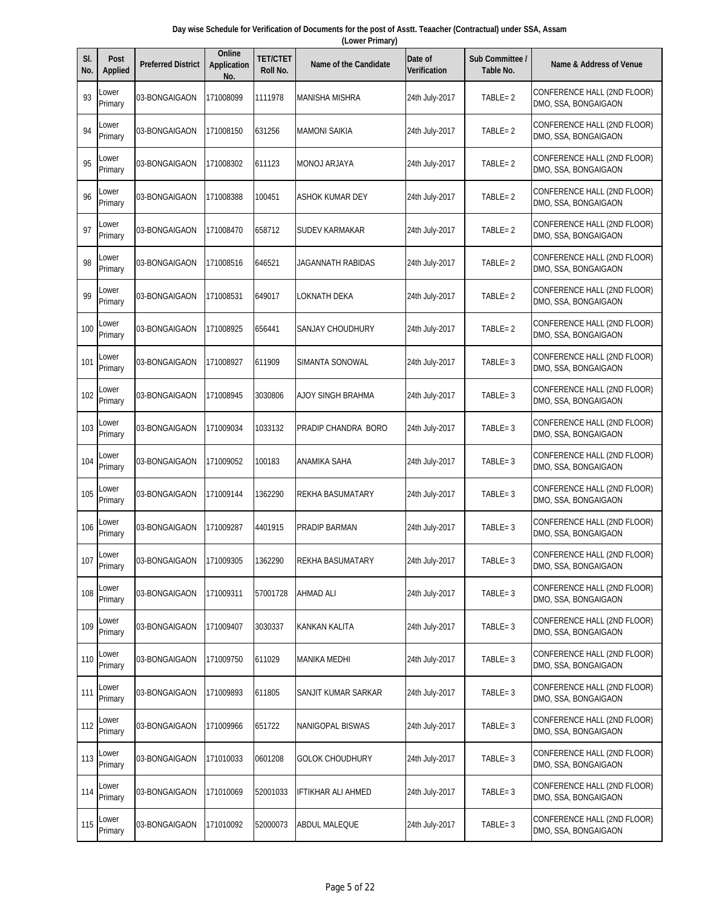| Day wise Schedule for Verification of Documents for the post of Asstt. Teaacher (Contractual) under SSA, Assam |  |
|----------------------------------------------------------------------------------------------------------------|--|
| (Lower Primary)                                                                                                |  |

| SI.<br>No. | <b>Post</b><br><b>Applied</b> | <b>Preferred District</b> | Online<br><b>Application</b><br>No. | <b>TET/CTET</b><br>Roll No. | <b>Name of the Candidate</b> | Date of<br>Verification | <b>Sub Committee /</b><br>Table No. | Name & Address of Venue                             |
|------------|-------------------------------|---------------------------|-------------------------------------|-----------------------------|------------------------------|-------------------------|-------------------------------------|-----------------------------------------------------|
| 93         | _ower<br>Primary              | 03-BONGAIGAON             | 171008099                           | 1111978                     | <b>MANISHA MISHRA</b>        | 24th July-2017          | TABLE=2                             | CONFERENCE HALL (2ND FLOOR)<br>DMO, SSA, BONGAIGAON |
| 94         | Lower<br>Primary              | 03-BONGAIGAON             | 171008150                           | 631256                      | MAMONI SAIKIA                | 24th July-2017          | $TABLE = 2$                         | CONFERENCE HALL (2ND FLOOR)<br>DMO, SSA, BONGAIGAON |
| 95         | Lower<br>Primary              | 03-BONGAIGAON             | 171008302                           | 611123                      | <b>MONOJ ARJAYA</b>          | 24th July-2017          | $TABLE = 2$                         | CONFERENCE HALL (2ND FLOOR)<br>DMO, SSA, BONGAIGAON |
| 96         | Lower<br>Primary              | 03-BONGAIGAON             | 171008388                           | 100451                      | ASHOK KUMAR DEY              | 24th July-2017          | $TABLE = 2$                         | CONFERENCE HALL (2ND FLOOR)<br>DMO, SSA, BONGAIGAON |
| 97         | Lower<br>Primary              | 03-BONGAIGAON             | 171008470                           | 658712                      | <b>SUDEV KARMAKAR</b>        | 24th July-2017          | $TABLE = 2$                         | CONFERENCE HALL (2ND FLOOR)<br>DMO, SSA, BONGAIGAON |
| 98         | Lower<br>Primary              | 03-BONGAIGAON             | 171008516                           | 646521                      | JAGANNATH RABIDAS            | 24th July-2017          | $TABLE = 2$                         | CONFERENCE HALL (2ND FLOOR)<br>DMO, SSA, BONGAIGAON |
| 99         | Lower<br>Primary              | 03-BONGAIGAON             | 171008531                           | 649017                      | LOKNATH DEKA                 | 24th July-2017          | $TABLE = 2$                         | CONFERENCE HALL (2ND FLOOR)<br>DMO, SSA, BONGAIGAON |
| 100        | Lower<br>Primary              | 03-BONGAIGAON             | 171008925                           | 656441                      | SANJAY CHOUDHURY             | 24th July-2017          | $TABLE = 2$                         | CONFERENCE HALL (2ND FLOOR)<br>DMO, SSA, BONGAIGAON |
| 101        | Lower<br>Primary              | 03-BONGAIGAON             | 171008927                           | 611909                      | SIMANTA SONOWAL              | 24th July-2017          | $TABLE = 3$                         | CONFERENCE HALL (2ND FLOOR)<br>DMO, SSA, BONGAIGAON |
| 102        | Lower<br>Primary              | 03-BONGAIGAON             | 171008945                           | 3030806                     | AJOY SINGH BRAHMA            | 24th July-2017          | $TABLE = 3$                         | CONFERENCE HALL (2ND FLOOR)<br>DMO, SSA, BONGAIGAON |
| 103        | Lower<br>Primary              | 03-BONGAIGAON             | 171009034                           | 1033132                     | PRADIP CHANDRA BORO          | 24th July-2017          | $TABLE = 3$                         | CONFERENCE HALL (2ND FLOOR)<br>DMO, SSA, BONGAIGAON |
| 104        | Lower<br>Primary              | 03-BONGAIGAON             | 171009052                           | 100183                      | ANAMIKA SAHA                 | 24th July-2017          | TABLE=3                             | CONFERENCE HALL (2ND FLOOR)<br>DMO, SSA, BONGAIGAON |
| 105        | Lower<br>Primary              | 03-BONGAIGAON             | 171009144                           | 1362290                     | REKHA BASUMATARY             | 24th July-2017          | $TABLE = 3$                         | CONFERENCE HALL (2ND FLOOR)<br>DMO, SSA, BONGAIGAON |
| 106        | Lower<br>Primary              | 03-BONGAIGAON             | 171009287                           | 4401915                     | PRADIP BARMAN                | 24th July-2017          | $TABLE = 3$                         | CONFERENCE HALL (2ND FLOOR)<br>DMO, SSA, BONGAIGAON |
| 107        | Lower<br>Primary              | 03-BONGAIGAON             | 171009305                           | 1362290                     | REKHA BASUMATARY             | 24th July-2017          | TABLE=3                             | CONFERENCE HALL (2ND FLOOR)<br>DMO, SSA, BONGAIGAON |
| 108        | Lower<br>Primary              | 03-BONGAIGAON             | 171009311                           | 57001728                    | AHMAD ALI                    | 24th July-2017          | TABLE=3                             | CONFERENCE HALL (2ND FLOOR)<br>DMO, SSA, BONGAIGAON |
| 109        | Lower<br>Primary              | 03-BONGAIGAON             | 171009407                           | 3030337                     | <b>KANKAN KALITA</b>         | 24th July-2017          | TABLE=3                             | CONFERENCE HALL (2ND FLOOR)<br>DMO, SSA, BONGAIGAON |
| 110        | Lower<br>Primary              | 03-BONGAIGAON             | 171009750                           | 611029                      | <b>MANIKA MEDHI</b>          | 24th July-2017          | $TABLE = 3$                         | CONFERENCE HALL (2ND FLOOR)<br>DMO, SSA, BONGAIGAON |
| 111        | Lower<br>Primary              | 03-BONGAIGAON             | 171009893                           | 611805                      | SANJIT KUMAR SARKAR          | 24th July-2017          | $TABLE = 3$                         | CONFERENCE HALL (2ND FLOOR)<br>DMO, SSA, BONGAIGAON |
| 112        | Lower<br>Primary              | 03-BONGAIGAON             | 171009966                           | 651722                      | NANIGOPAL BISWAS             | 24th July-2017          | TABLE=3                             | CONFERENCE HALL (2ND FLOOR)<br>DMO, SSA, BONGAIGAON |
| 113        | Lower<br>Primary              | 03-BONGAIGAON             | 171010033                           | 0601208                     | <b>GOLOK CHOUDHURY</b>       | 24th July-2017          | TABLE=3                             | CONFERENCE HALL (2ND FLOOR)<br>DMO, SSA, BONGAIGAON |
| 114        | Lower<br>Primary              | 03-BONGAIGAON             | 171010069                           | 52001033                    | <b>IFTIKHAR ALI AHMED</b>    | 24th July-2017          | TABLE=3                             | CONFERENCE HALL (2ND FLOOR)<br>DMO, SSA, BONGAIGAON |
| 115        | Lower<br>Primary              | 03-BONGAIGAON             | 171010092                           | 52000073                    | <b>ABDUL MALEQUE</b>         | 24th July-2017          | $TABLE = 3$                         | CONFERENCE HALL (2ND FLOOR)<br>DMO, SSA, BONGAIGAON |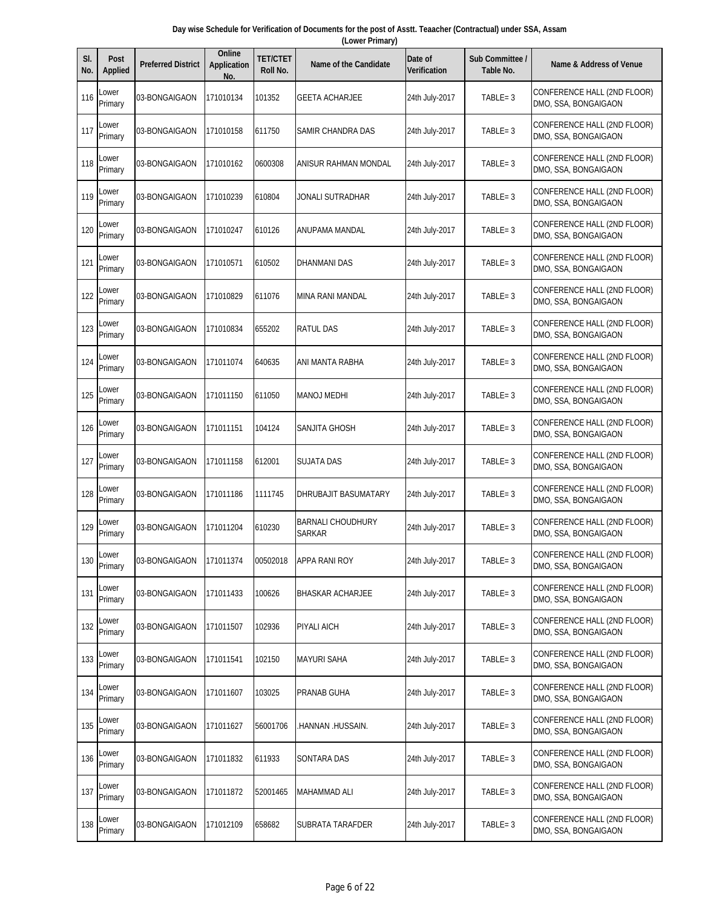| Day wise Schedule for Verification of Documents for the post of Asstt. Teaacher (Contractual) under SSA, Assam |  |
|----------------------------------------------------------------------------------------------------------------|--|
| (Lower Primary)                                                                                                |  |

| SI.<br>No. | <b>Post</b><br><b>Applied</b> | <b>Preferred District</b> | Online<br><b>Application</b><br>No. | <b>TET/CTET</b><br>Roll No. | <b>Name of the Candidate</b>              | Date of<br><b>Verification</b> | Sub Committee /<br>Table No. | <b>Name &amp; Address of Venue</b>                  |
|------------|-------------------------------|---------------------------|-------------------------------------|-----------------------------|-------------------------------------------|--------------------------------|------------------------------|-----------------------------------------------------|
| 116        | ower.<br>Primary              | 03-BONGAIGAON             | 171010134                           | 101352                      | <b>GEETA ACHARJEE</b>                     | 24th July-2017                 | TABLE=3                      | CONFERENCE HALL (2ND FLOOR)<br>DMO, SSA, BONGAIGAON |
| 117        | Lower<br>Primary              | 03-BONGAIGAON             | 171010158                           | 611750                      | SAMIR CHANDRA DAS                         | 24th July-2017                 | $TABLE = 3$                  | CONFERENCE HALL (2ND FLOOR)<br>DMO, SSA, BONGAIGAON |
| 118        | Lower<br>Primary              | 03-BONGAIGAON             | 171010162                           | 0600308                     | ANISUR RAHMAN MONDAL                      | 24th July-2017                 | $TABLE = 3$                  | CONFERENCE HALL (2ND FLOOR)<br>DMO, SSA, BONGAIGAON |
| 119        | Lower<br>Primary              | 03-BONGAIGAON             | 171010239                           | 610804                      | JONALI SUTRADHAR                          | 24th July-2017                 | $TABLE = 3$                  | CONFERENCE HALL (2ND FLOOR)<br>DMO, SSA, BONGAIGAON |
| 120        | Lower<br>Primary              | 03-BONGAIGAON             | 171010247                           | 610126                      | ANUPAMA MANDAL                            | 24th July-2017                 | $TABLE = 3$                  | CONFERENCE HALL (2ND FLOOR)<br>DMO, SSA, BONGAIGAON |
| 121        | Lower<br>Primary              | 03-BONGAIGAON             | 171010571                           | 610502                      | DHANMANI DAS                              | 24th July-2017                 | $TABLE = 3$                  | CONFERENCE HALL (2ND FLOOR)<br>DMO, SSA, BONGAIGAON |
| 122        | Lower<br>Primary              | 03-BONGAIGAON             | 171010829                           | 611076                      | <b>MINA RANI MANDAL</b>                   | 24th July-2017                 | $TABLE = 3$                  | CONFERENCE HALL (2ND FLOOR)<br>DMO, SSA, BONGAIGAON |
| 123        | Lower<br>Primary              | 03-BONGAIGAON             | 171010834                           | 655202                      | RATUL DAS                                 | 24th July-2017                 | $TABLE = 3$                  | CONFERENCE HALL (2ND FLOOR)<br>DMO, SSA, BONGAIGAON |
| 124        | Lower<br>Primary              | 03-BONGAIGAON             | 171011074                           | 640635                      | ANI MANTA RABHA                           | 24th July-2017                 | $TABLE = 3$                  | CONFERENCE HALL (2ND FLOOR)<br>DMO, SSA, BONGAIGAON |
| 125        | Lower<br>Primary              | 03-BONGAIGAON             | 171011150                           | 611050                      | <b>MANOJ MEDHI</b>                        | 24th July-2017                 | $TABLE = 3$                  | CONFERENCE HALL (2ND FLOOR)<br>DMO, SSA, BONGAIGAON |
| 126        | Lower<br>Primary              | 03-BONGAIGAON             | 171011151                           | 104124                      | SANJITA GHOSH                             | 24th July-2017                 | $TABLE = 3$                  | CONFERENCE HALL (2ND FLOOR)<br>DMO, SSA, BONGAIGAON |
| 127        | Lower<br>Primary              | 03-BONGAIGAON             | 171011158                           | 612001                      | SUJATA DAS                                | 24th July-2017                 | $TABLE = 3$                  | CONFERENCE HALL (2ND FLOOR)<br>DMO, SSA, BONGAIGAON |
| 128        | Lower<br>Primary              | 03-BONGAIGAON             | 171011186                           | 1111745                     | DHRUBAJIT BASUMATARY                      | 24th July-2017                 | $TABLE = 3$                  | CONFERENCE HALL (2ND FLOOR)<br>DMO, SSA, BONGAIGAON |
| 129        | Lower<br>Primary              | 03-BONGAIGAON             | 171011204                           | 610230                      | <b>BARNALI CHOUDHURY</b><br><b>SARKAR</b> | 24th July-2017                 | $TABLE = 3$                  | CONFERENCE HALL (2ND FLOOR)<br>DMO, SSA, BONGAIGAON |
| 130        | Lower<br>Primary              | 03-BONGAIGAON             | 171011374                           | 00502018                    | APPA RANI ROY                             | 24th July-2017                 | TABLE=3                      | CONFERENCE HALL (2ND FLOOR)<br>DMO, SSA, BONGAIGAON |
| 131        | Lower<br>Primary              | 03-BONGAIGAON             | 171011433                           | 100626                      | <b>BHASKAR ACHARJEE</b>                   | 24th July-2017                 | TABLE=3                      | CONFERENCE HALL (2ND FLOOR)<br>DMO, SSA, BONGAIGAON |
| 132        | Lower<br>Primary              | 03-BONGAIGAON             | 171011507                           | 102936                      | PIYALI AICH                               | 24th July-2017                 | TABLE=3                      | CONFERENCE HALL (2ND FLOOR)<br>DMO, SSA, BONGAIGAON |
| 133        | Lower<br>Primary              | 03-BONGAIGAON             | 171011541                           | 102150                      | <b>MAYURI SAHA</b>                        | 24th July-2017                 | $TABLE = 3$                  | CONFERENCE HALL (2ND FLOOR)<br>DMO, SSA, BONGAIGAON |
| 134        | Lower<br>Primary              | 03-BONGAIGAON             | 171011607                           | 103025                      | PRANAB GUHA                               | 24th July-2017                 | TABLE=3                      | CONFERENCE HALL (2ND FLOOR)<br>DMO, SSA, BONGAIGAON |
| 135        | Lower<br>Primary              | 03-BONGAIGAON             | 171011627                           | 56001706                    | .HANNAN .HUSSAIN.                         | 24th July-2017                 | TABLE=3                      | CONFERENCE HALL (2ND FLOOR)<br>DMO, SSA, BONGAIGAON |
| 136        | _ower<br>Primary              | 03-BONGAIGAON             | 171011832                           | 611933                      | SONTARA DAS                               | 24th July-2017                 | TABLE=3                      | CONFERENCE HALL (2ND FLOOR)<br>DMO, SSA, BONGAIGAON |
| 137        | Lower<br>Primary              | 03-BONGAIGAON             | 171011872                           | 52001465                    | <b>MAHAMMAD ALI</b>                       | 24th July-2017                 | TABLE=3                      | CONFERENCE HALL (2ND FLOOR)<br>DMO, SSA, BONGAIGAON |
| 138        | Lower<br>Primary              | 03-BONGAIGAON             | 171012109                           | 658682                      | SUBRATA TARAFDER                          | 24th July-2017                 | $TABLE = 3$                  | CONFERENCE HALL (2ND FLOOR)<br>DMO, SSA, BONGAIGAON |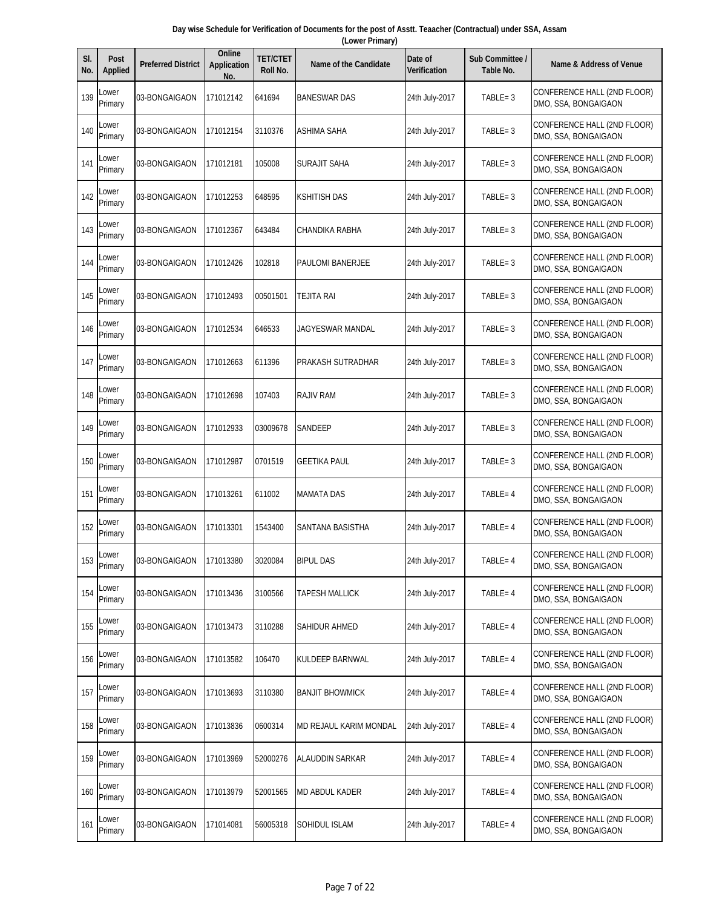| Day wise Schedule for Verification of Documents for the post of Asstt. Teaacher (Contractual) under SSA, Assam |  |  |  |  |  |  |  |  |
|----------------------------------------------------------------------------------------------------------------|--|--|--|--|--|--|--|--|
| (Lower Primary)                                                                                                |  |  |  |  |  |  |  |  |
|                                                                                                                |  |  |  |  |  |  |  |  |

| SI.<br>No. | <b>Post</b><br><b>Applied</b> | <b>Preferred District</b> | Online<br><b>Application</b><br>No. | <b>TET/CTET</b><br>Roll No. | <b>Name of the Candidate</b> | Date of<br><b>Verification</b> | Sub Committee /<br>Table No. | Name & Address of Venue                             |
|------------|-------------------------------|---------------------------|-------------------------------------|-----------------------------|------------------------------|--------------------------------|------------------------------|-----------------------------------------------------|
| 139        | ower.<br>Primary              | 03-BONGAIGAON             | 171012142                           | 641694                      | <b>BANESWAR DAS</b>          | 24th July-2017                 | $TABLE = 3$                  | CONFERENCE HALL (2ND FLOOR)<br>DMO, SSA, BONGAIGAON |
| 140        | Lower<br>Primary              | 03-BONGAIGAON             | 171012154                           | 3110376                     | ASHIMA SAHA                  | 24th July-2017                 | $TABLE = 3$                  | CONFERENCE HALL (2ND FLOOR)<br>DMO, SSA, BONGAIGAON |
| 141        | Lower<br>Primary              | 03-BONGAIGAON             | 171012181                           | 105008                      | SURAJIT SAHA                 | 24th July-2017                 | $TABLE = 3$                  | CONFERENCE HALL (2ND FLOOR)<br>DMO, SSA, BONGAIGAON |
| 142        | Lower<br>Primary              | 03-BONGAIGAON             | 171012253                           | 648595                      | KSHITISH DAS                 | 24th July-2017                 | $TABLE = 3$                  | CONFERENCE HALL (2ND FLOOR)<br>DMO, SSA, BONGAIGAON |
| 143        | Lower<br>Primary              | 03-BONGAIGAON             | 171012367                           | 643484                      | CHANDIKA RABHA               | 24th July-2017                 | $TABLE = 3$                  | CONFERENCE HALL (2ND FLOOR)<br>DMO, SSA, BONGAIGAON |
| 144        | Lower<br>Primary              | 03-BONGAIGAON             | 171012426                           | 102818                      | PAULOMI BANERJEE             | 24th July-2017                 | TABLE=3                      | CONFERENCE HALL (2ND FLOOR)<br>DMO, SSA, BONGAIGAON |
| 145        | Lower<br>Primary              | 03-BONGAIGAON             | 171012493                           | 00501501                    | TEJITA RAI                   | 24th July-2017                 | $TABLE = 3$                  | CONFERENCE HALL (2ND FLOOR)<br>DMO, SSA, BONGAIGAON |
| 146        | Lower<br>Primary              | 03-BONGAIGAON             | 171012534                           | 646533                      | JAGYESWAR MANDAL             | 24th July-2017                 | $TABLE = 3$                  | CONFERENCE HALL (2ND FLOOR)<br>DMO, SSA, BONGAIGAON |
| 147        | Lower<br>Primary              | 03-BONGAIGAON             | 171012663                           | 611396                      | PRAKASH SUTRADHAR            | 24th July-2017                 | $TABLE = 3$                  | CONFERENCE HALL (2ND FLOOR)<br>DMO, SSA, BONGAIGAON |
| 148        | Lower<br>Primary              | 03-BONGAIGAON             | 171012698                           | 107403                      | RAJIV RAM                    | 24th July-2017                 | TABLE=3                      | CONFERENCE HALL (2ND FLOOR)<br>DMO, SSA, BONGAIGAON |
| 149        | Lower<br>Primary              | 03-BONGAIGAON             | 171012933                           | 03009678                    | SANDEEP                      | 24th July-2017                 | TABLE=3                      | CONFERENCE HALL (2ND FLOOR)<br>DMO, SSA, BONGAIGAON |
| 150        | Lower<br>Primary              | 03-BONGAIGAON             | 171012987                           | 0701519                     | <b>GEETIKA PAUL</b>          | 24th July-2017                 | $TABLE = 3$                  | CONFERENCE HALL (2ND FLOOR)<br>DMO, SSA, BONGAIGAON |
| 151        | Lower<br>Primary              | 03-BONGAIGAON             | 171013261                           | 611002                      | <b>MAMATA DAS</b>            | 24th July-2017                 | $TABLE = 4$                  | CONFERENCE HALL (2ND FLOOR)<br>DMO, SSA, BONGAIGAON |
| 152        | Lower<br>Primary              | 03-BONGAIGAON             | 171013301                           | 1543400                     | SANTANA BASISTHA             | 24th July-2017                 | $TABLE = 4$                  | CONFERENCE HALL (2ND FLOOR)<br>DMO, SSA, BONGAIGAON |
|            | $153$ Lower<br>Primary        | 03-BONGAIGAON             | 171013380                           | 3020084                     | <b>BIPUL DAS</b>             | 24th July-2017                 | $TABLE = 4$                  | CONFERENCE HALL (2ND FLOOR)<br>DMO, SSA, BONGAIGAON |
| 154        | Lower<br>Primary              | 03-BONGAIGAON             | 171013436                           | 3100566                     | TAPESH MALLICK               | 24th July-2017                 | $TABLE = 4$                  | CONFERENCE HALL (2ND FLOOR)<br>DMO, SSA, BONGAIGAON |
| 155        | Lower<br>Primary              | 03-BONGAIGAON             | 171013473                           | 3110288                     | SAHIDUR AHMED                | 24th July-2017                 | TABLE= 4                     | CONFERENCE HALL (2ND FLOOR)<br>DMO, SSA, BONGAIGAON |
| 156        | Lower<br>Primary              | 03-BONGAIGAON             | 171013582                           | 106470                      | KULDEEP BARNWAL              | 24th July-2017                 | TABLE= 4                     | CONFERENCE HALL (2ND FLOOR)<br>DMO, SSA, BONGAIGAON |
| 157        | Lower<br>Primary              | 03-BONGAIGAON             | 171013693                           | 3110380                     | <b>BANJIT BHOWMICK</b>       | 24th July-2017                 | TABLE= 4                     | CONFERENCE HALL (2ND FLOOR)<br>DMO, SSA, BONGAIGAON |
| 158        | Lower<br>Primary              | 03-BONGAIGAON             | 171013836                           | 0600314                     | MD REJAUL KARIM MONDAL       | 24th July-2017                 | $TABLE = 4$                  | CONFERENCE HALL (2ND FLOOR)<br>DMO, SSA, BONGAIGAON |
| 159        | Lower<br>Primary              | 03-BONGAIGAON             | 171013969                           | 52000276                    | ALAUDDIN SARKAR              | 24th July-2017                 | $TABLE = 4$                  | CONFERENCE HALL (2ND FLOOR)<br>DMO, SSA, BONGAIGAON |
| 160        | Lower<br>Primary              | 03-BONGAIGAON             | 171013979                           | 52001565                    | MD ABDUL KADER               | 24th July-2017                 | $TABLE = 4$                  | CONFERENCE HALL (2ND FLOOR)<br>DMO, SSA, BONGAIGAON |
| 161        | Lower<br>Primary              | 03-BONGAIGAON             | 171014081                           | 56005318                    | SOHIDUL ISLAM                | 24th July-2017                 | TABLE= 4                     | CONFERENCE HALL (2ND FLOOR)<br>DMO, SSA, BONGAIGAON |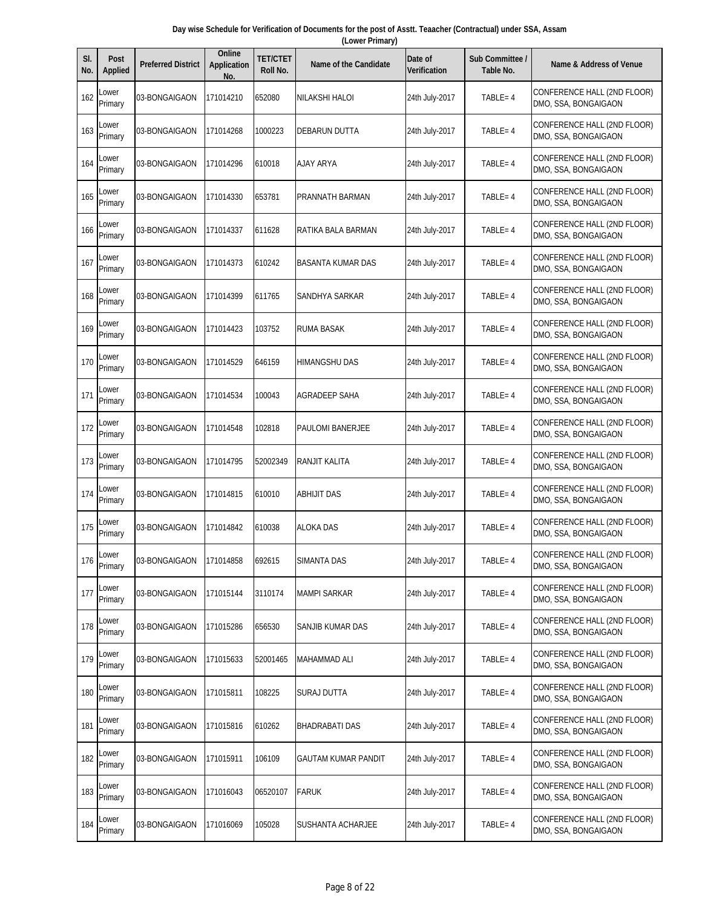| Day wise Schedule for Verification of Documents for the post of Asstt. Teaacher (Contractual) under SSA, Assam |  |  |  |  |  |  |  |  |
|----------------------------------------------------------------------------------------------------------------|--|--|--|--|--|--|--|--|
| (Lower Primary)                                                                                                |  |  |  |  |  |  |  |  |
|                                                                                                                |  |  |  |  |  |  |  |  |

| SI.<br>No. | <b>Post</b><br><b>Applied</b> | <b>Preferred District</b> | Online<br><b>Application</b><br>No. | <b>TET/CTET</b><br>Roll No. | <b>Name of the Candidate</b> | Date of<br><b>Verification</b> | Sub Committee /<br>Table No. | Name & Address of Venue                                    |
|------------|-------------------------------|---------------------------|-------------------------------------|-----------------------------|------------------------------|--------------------------------|------------------------------|------------------------------------------------------------|
| 162        | _ower<br>Primary              | 03-BONGAIGAON             | 171014210                           | 652080                      | NILAKSHI HALOI               | 24th July-2017                 | TABLE= 4                     | CONFERENCE HALL (2ND FLOOR)<br>DMO, SSA, BONGAIGAON        |
| 163        | Lower<br>Primary              | 03-BONGAIGAON             | 171014268                           | 1000223                     | DEBARUN DUTTA                | 24th July-2017                 | $TABLE = 4$                  | CONFERENCE HALL (2ND FLOOR)<br>DMO, SSA, BONGAIGAON        |
| 164        | Lower<br>Primary              | 03-BONGAIGAON             | 171014296                           | 610018                      | <b>AJAY ARYA</b>             | 24th July-2017                 | $TABLE = 4$                  | CONFERENCE HALL (2ND FLOOR)<br>DMO, SSA, BONGAIGAON        |
| 165        | Lower<br>Primary              | 03-BONGAIGAON             | 171014330                           | 653781                      | PRANNATH BARMAN              | 24th July-2017                 | $TABLE = 4$                  | <b>CONFERENCE HALL (2ND FLOOR)</b><br>DMO, SSA, BONGAIGAON |
| 166        | Lower<br>Primary              | 03-BONGAIGAON             | 171014337                           | 611628                      | RATIKA BALA BARMAN           | 24th July-2017                 | $TABLE = 4$                  | CONFERENCE HALL (2ND FLOOR)<br>DMO, SSA, BONGAIGAON        |
| 167        | Lower<br>Primary              | 03-BONGAIGAON             | 171014373                           | 610242                      | BASANTA KUMAR DAS            | 24th July-2017                 | TABLE= 4                     | CONFERENCE HALL (2ND FLOOR)<br>DMO, SSA, BONGAIGAON        |
| 168        | Lower<br>Primary              | 03-BONGAIGAON             | 171014399                           | 611765                      | SANDHYA SARKAR               | 24th July-2017                 | $TABLE = 4$                  | CONFERENCE HALL (2ND FLOOR)<br>DMO, SSA, BONGAIGAON        |
| 169        | Lower<br>Primary              | 03-BONGAIGAON             | 171014423                           | 103752                      | RUMA BASAK                   | 24th July-2017                 | $TABLE = 4$                  | CONFERENCE HALL (2ND FLOOR)<br>DMO, SSA, BONGAIGAON        |
| 170        | Lower<br>Primary              | 03-BONGAIGAON             | 171014529                           | 646159                      | <b>HIMANGSHU DAS</b>         | 24th July-2017                 | $TABLE = 4$                  | CONFERENCE HALL (2ND FLOOR)<br>DMO, SSA, BONGAIGAON        |
| 171        | Lower<br>Primary              | 03-BONGAIGAON             | 171014534                           | 100043                      | AGRADEEP SAHA                | 24th July-2017                 | TABLE= 4                     | CONFERENCE HALL (2ND FLOOR)<br>DMO, SSA, BONGAIGAON        |
| 172        | Lower<br>Primary              | 03-BONGAIGAON             | 171014548                           | 102818                      | PAULOMI BANERJEE             | 24th July-2017                 | TABLE= 4                     | CONFERENCE HALL (2ND FLOOR)<br>DMO, SSA, BONGAIGAON        |
| 173        | Lower<br>Primary              | 03-BONGAIGAON             | 171014795                           | 52002349                    | RANJIT KALITA                | 24th July-2017                 | $TABLE = 4$                  | CONFERENCE HALL (2ND FLOOR)<br>DMO, SSA, BONGAIGAON        |
| 174        | Lower<br>Primary              | 03-BONGAIGAON             | 171014815                           | 610010                      | <b>ABHIJIT DAS</b>           | 24th July-2017                 | $TABLE = 4$                  | CONFERENCE HALL (2ND FLOOR)<br>DMO, SSA, BONGAIGAON        |
| 175        | Lower<br>Primary              | 03-BONGAIGAON             | 171014842                           | 610038                      | ALOKA DAS                    | 24th July-2017                 | TABLE= 4                     | CONFERENCE HALL (2ND FLOOR)<br>DMO, SSA, BONGAIGAON        |
| 176        | Lower<br>Primary              | 03-BONGAIGAON             | 171014858                           | 692615                      | SIMANTA DAS                  | 24th July-2017                 | $TABLE = 4$                  | CONFERENCE HALL (2ND FLOOR)<br>DMO, SSA, BONGAIGAON        |
| 177        | Lower<br>Primary              | 03-BONGAIGAON             | 171015144                           | 3110174                     | <b>MAMPI SARKAR</b>          | 24th July-2017                 | $TABLE = 4$                  | <b>CONFERENCE HALL (2ND FLOOR)</b><br>DMO, SSA, BONGAIGAON |
| 178        | Lower<br>Primary              | 03-BONGAIGAON             | 171015286                           | 656530                      | SANJIB KUMAR DAS             | 24th July-2017                 | TABLE= 4                     | <b>CONFERENCE HALL (2ND FLOOR)</b><br>DMO, SSA, BONGAIGAON |
| 179        | Lower<br>Primary              | 03-BONGAIGAON             | 171015633                           | 52001465                    | MAHAMMAD ALI                 | 24th July-2017                 | TABLE= 4                     | CONFERENCE HALL (2ND FLOOR)<br>DMO, SSA, BONGAIGAON        |
| 180        | Lower<br>Primary              | 03-BONGAIGAON             | 171015811                           | 108225                      | <b>SURAJ DUTTA</b>           | 24th July-2017                 | TABLE= 4                     | CONFERENCE HALL (2ND FLOOR)<br>DMO, SSA, BONGAIGAON        |
| 181        | Lower<br>Primary              | 03-BONGAIGAON             | 171015816                           | 610262                      | BHADRABATI DAS               | 24th July-2017                 | $TABLE = 4$                  | CONFERENCE HALL (2ND FLOOR)<br>DMO, SSA, BONGAIGAON        |
| 182        | Lower<br>Primary              | 03-BONGAIGAON             | 171015911                           | 106109                      | GAUTAM KUMAR PANDIT          | 24th July-2017                 | $TABLE = 4$                  | CONFERENCE HALL (2ND FLOOR)<br>DMO, SSA, BONGAIGAON        |
| 183        | Lower<br>Primary              | 03-BONGAIGAON             | 171016043                           | 06520107                    | <b>FARUK</b>                 | 24th July-2017                 | TABLE=4                      | CONFERENCE HALL (2ND FLOOR)<br>DMO, SSA, BONGAIGAON        |
| 184        | Lower<br>Primary              | 03-BONGAIGAON             | 171016069                           | 105028                      | SUSHANTA ACHARJEE            | 24th July-2017                 | TABLE= 4                     | CONFERENCE HALL (2ND FLOOR)<br>DMO, SSA, BONGAIGAON        |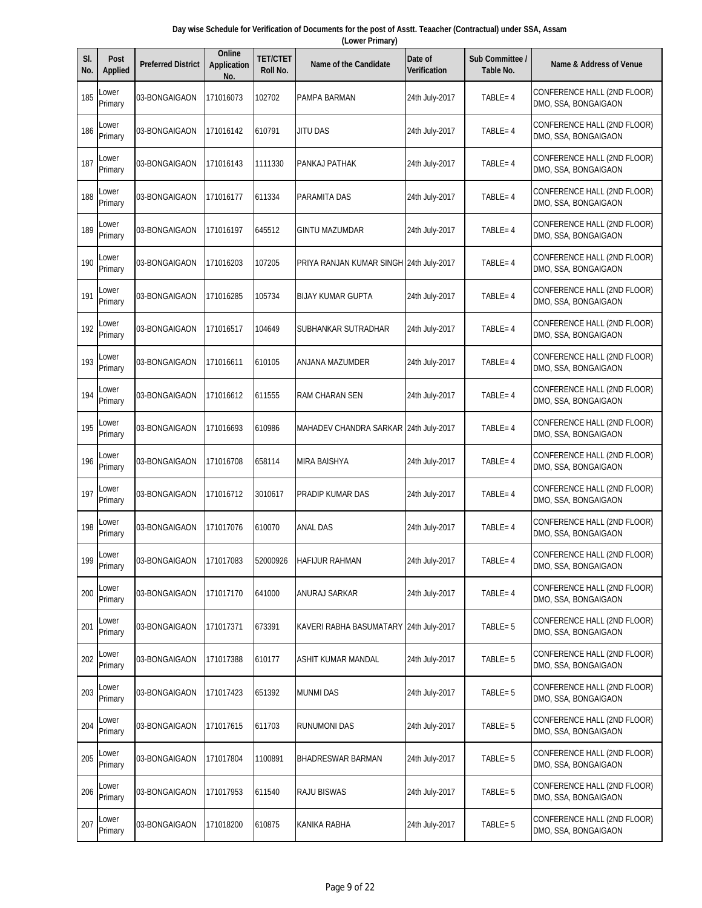| Day wise Schedule for Verification of Documents for the post of Asstt. Teaacher (Contractual) under SSA, Assam |  |  |  |  |  |  |  |  |
|----------------------------------------------------------------------------------------------------------------|--|--|--|--|--|--|--|--|
| (Lower Primary)                                                                                                |  |  |  |  |  |  |  |  |
|                                                                                                                |  |  |  |  |  |  |  |  |

| SI.<br>No. | <b>Post</b><br><b>Applied</b> | <b>Preferred District</b> | Online<br><b>Application</b><br>No. | <b>TET/CTET</b><br>Roll No. | <b>Name of the Candidate</b>            | Date of<br>Verification | Sub Committee /<br>Table No. | <b>Name &amp; Address of Venue</b>                         |
|------------|-------------------------------|---------------------------|-------------------------------------|-----------------------------|-----------------------------------------|-------------------------|------------------------------|------------------------------------------------------------|
| 185        | ower.<br>Primary              | 03-BONGAIGAON             | 171016073                           | 102702                      | PAMPA BARMAN                            | 24th July-2017          | $TABLE = 4$                  | CONFERENCE HALL (2ND FLOOR)<br>DMO, SSA, BONGAIGAON        |
| 186        | Lower<br>Primary              | 03-BONGAIGAON             | 171016142                           | 610791                      | JITU DAS                                | 24th July-2017          | $TABLE = 4$                  | CONFERENCE HALL (2ND FLOOR)<br>DMO, SSA, BONGAIGAON        |
| 187        | Lower<br>Primary              | 03-BONGAIGAON             | 171016143                           | 1111330                     | PANKAJ PATHAK                           | 24th July-2017          | $TABLE = 4$                  | CONFERENCE HALL (2ND FLOOR)<br>DMO, SSA, BONGAIGAON        |
| 188        | Lower<br>Primary              | 03-BONGAIGAON             | 171016177                           | 611334                      | PARAMITA DAS                            | 24th July-2017          | $TABLE = 4$                  | CONFERENCE HALL (2ND FLOOR)<br>DMO, SSA, BONGAIGAON        |
| 189        | Lower<br>Primary              | 03-BONGAIGAON             | 171016197                           | 645512                      | <b>GINTU MAZUMDAR</b>                   | 24th July-2017          | $TABLE = 4$                  | CONFERENCE HALL (2ND FLOOR)<br>DMO, SSA, BONGAIGAON        |
| 190        | Lower<br>Primary              | 03-BONGAIGAON             | 171016203                           | 107205                      | PRIYA RANJAN KUMAR SINGH 24th July-2017 |                         | $TABLE = 4$                  | CONFERENCE HALL (2ND FLOOR)<br>DMO, SSA, BONGAIGAON        |
| 191        | Lower<br>Primary              | 03-BONGAIGAON             | 171016285                           | 105734                      | <b>BIJAY KUMAR GUPTA</b>                | 24th July-2017          | $TABLE = 4$                  | CONFERENCE HALL (2ND FLOOR)<br>DMO, SSA, BONGAIGAON        |
| 192        | Lower<br>Primary              | 03-BONGAIGAON             | 171016517                           | 104649                      | SUBHANKAR SUTRADHAR                     | 24th July-2017          | $TABLE = 4$                  | CONFERENCE HALL (2ND FLOOR)<br>DMO, SSA, BONGAIGAON        |
| 193        | Lower<br>Primary              | 03-BONGAIGAON             | 171016611                           | 610105                      | ANJANA MAZUMDER                         | 24th July-2017          | $TABLE = 4$                  | CONFERENCE HALL (2ND FLOOR)<br>DMO, SSA, BONGAIGAON        |
| 194        | Lower<br>Primary              | 03-BONGAIGAON             | 171016612                           | 611555                      | RAM CHARAN SEN                          | 24th July-2017          | $TABLE = 4$                  | CONFERENCE HALL (2ND FLOOR)<br>DMO, SSA, BONGAIGAON        |
| 195        | Lower<br>Primary              | 03-BONGAIGAON             | 171016693                           | 610986                      | MAHADEV CHANDRA SARKAR 24th July-2017   |                         | $TABLE = 4$                  | CONFERENCE HALL (2ND FLOOR)<br>DMO, SSA, BONGAIGAON        |
| 196        | _ower<br>Primary              | 03-BONGAIGAON             | 171016708                           | 658114                      | <b>MIRA BAISHYA</b>                     | 24th July-2017          | $TABLE = 4$                  | CONFERENCE HALL (2ND FLOOR)<br>DMO, SSA, BONGAIGAON        |
| 197        | Lower<br>Primary              | 03-BONGAIGAON             | 171016712                           | 3010617                     | PRADIP KUMAR DAS                        | 24th July-2017          | $TABLE = 4$                  | CONFERENCE HALL (2ND FLOOR)<br>DMO, SSA, BONGAIGAON        |
| 198        | Lower<br>Primary              | 03-BONGAIGAON             | 171017076                           | 610070                      | ANAL DAS                                | 24th July-2017          | $TABLE = 4$                  | CONFERENCE HALL (2ND FLOOR)<br>DMO, SSA, BONGAIGAON        |
| 199        | Lower<br>Primary              | 03-BONGAIGAON             | 171017083                           | 52000926                    | <b>HAFIJUR RAHMAN</b>                   | 24th July-2017          | TABLE=4                      | CONFERENCE HALL (2ND FLOOR)<br>DMO, SSA, BONGAIGAON        |
| 200        | Lower<br>Primary              | 03-BONGAIGAON             | 171017170                           | 641000                      | ANURAJ SARKAR                           | 24th July-2017          | $TABLE = 4$                  | CONFERENCE HALL (2ND FLOOR)<br>DMO, SSA, BONGAIGAON        |
| 201        | Lower<br>Primary              | 03-BONGAIGAON             | 171017371                           | 673391                      | KAVERI RABHA BASUMATARY 24th July-2017  |                         | TABLE= 5                     | CONFERENCE HALL (2ND FLOOR)<br>DMO, SSA, BONGAIGAON        |
| 202        | Lower<br>Primary              | 03-BONGAIGAON             | 171017388                           | 610177                      | ASHIT KUMAR MANDAL                      | 24th July-2017          | $TABLE = 5$                  | CONFERENCE HALL (2ND FLOOR)<br>DMO, SSA, BONGAIGAON        |
| 203        | Lower<br>Primary              | 03-BONGAIGAON             | 171017423                           | 651392                      | <b>MUNMI DAS</b>                        | 24th July-2017          | TABLE= 5                     | <b>CONFERENCE HALL (2ND FLOOR)</b><br>DMO, SSA, BONGAIGAON |
| 204        | Lower<br>Primary              | 03-BONGAIGAON             | 171017615                           | 611703                      | <b>RUNUMONI DAS</b>                     | 24th July-2017          | TABLE= 5                     | CONFERENCE HALL (2ND FLOOR)<br>DMO, SSA, BONGAIGAON        |
| 205        | Lower<br>Primary              | 03-BONGAIGAON             | 171017804                           | 1100891                     | <b>BHADRESWAR BARMAN</b>                | 24th July-2017          | TABLE= 5                     | CONFERENCE HALL (2ND FLOOR)<br>DMO, SSA, BONGAIGAON        |
| 206        | Lower<br>Primary              | 03-BONGAIGAON             | 171017953                           | 611540                      | <b>RAJU BISWAS</b>                      | 24th July-2017          | TABLE= 5                     | CONFERENCE HALL (2ND FLOOR)<br>DMO, SSA, BONGAIGAON        |
| 207        | Lower<br>Primary              | 03-BONGAIGAON             | 171018200                           | 610875                      | KANIKA RABHA                            | 24th July-2017          | $TABLE = 5$                  | CONFERENCE HALL (2ND FLOOR)<br>DMO, SSA, BONGAIGAON        |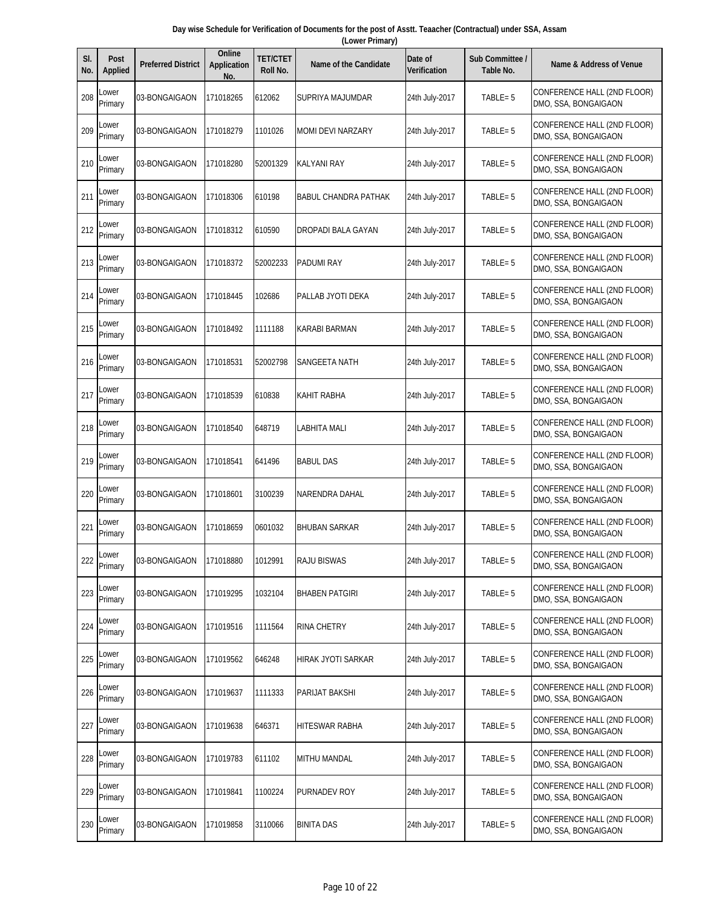| Day wise Schedule for Verification of Documents for the post of Asstt. Teaacher (Contractual) under SSA, Assam |  |  |  |  |  |  |  |  |
|----------------------------------------------------------------------------------------------------------------|--|--|--|--|--|--|--|--|
| (Lower Primary)                                                                                                |  |  |  |  |  |  |  |  |
|                                                                                                                |  |  |  |  |  |  |  |  |

| SI.<br>No. | <b>Post</b><br><b>Applied</b> | <b>Preferred District</b> | Online<br><b>Application</b><br>No. | <b>TET/CTET</b><br>Roll No. | <b>Name of the Candidate</b> | Date of<br><b>Verification</b> | Sub Committee /<br>Table No. | <b>Name &amp; Address of Venue</b>                  |
|------------|-------------------------------|---------------------------|-------------------------------------|-----------------------------|------------------------------|--------------------------------|------------------------------|-----------------------------------------------------|
| 208        | _ower<br>Primary              | 03-BONGAIGAON             | 171018265                           | 612062                      | SUPRIYA MAJUMDAR             | 24th July-2017                 | TABLE=5                      | CONFERENCE HALL (2ND FLOOR)<br>DMO, SSA, BONGAIGAON |
| 209        | Lower<br>Primary              | 03-BONGAIGAON             | 171018279                           | 1101026                     | <b>MOMI DEVI NARZARY</b>     | 24th July-2017                 | $TABLE = 5$                  | CONFERENCE HALL (2ND FLOOR)<br>DMO, SSA, BONGAIGAON |
| 210        | Lower<br>Primary              | 03-BONGAIGAON             | 171018280                           | 52001329                    | <b>KALYANI RAY</b>           | 24th July-2017                 | $TABLE = 5$                  | CONFERENCE HALL (2ND FLOOR)<br>DMO, SSA, BONGAIGAON |
| 211        | Lower<br>Primary              | 03-BONGAIGAON             | 171018306                           | 610198                      | BABUL CHANDRA PATHAK         | 24th July-2017                 | $TABLE = 5$                  | CONFERENCE HALL (2ND FLOOR)<br>DMO, SSA, BONGAIGAON |
| 212        | Lower<br>Primary              | 03-BONGAIGAON             | 171018312                           | 610590                      | DROPADI BALA GAYAN           | 24th July-2017                 | $TABLE = 5$                  | CONFERENCE HALL (2ND FLOOR)<br>DMO, SSA, BONGAIGAON |
| 213        | Lower<br>Primary              | 03-BONGAIGAON             | 171018372                           | 52002233                    | <b>PADUMI RAY</b>            | 24th July-2017                 | $TABLE = 5$                  | CONFERENCE HALL (2ND FLOOR)<br>DMO, SSA, BONGAIGAON |
| 214        | Lower<br>Primary              | 03-BONGAIGAON             | 171018445                           | 102686                      | PALLAB JYOTI DEKA            | 24th July-2017                 | $TABLE = 5$                  | CONFERENCE HALL (2ND FLOOR)<br>DMO, SSA, BONGAIGAON |
| 215        | Lower<br>Primary              | 03-BONGAIGAON             | 171018492                           | 1111188                     | KARABI BARMAN                | 24th July-2017                 | $TABLE = 5$                  | CONFERENCE HALL (2ND FLOOR)<br>DMO, SSA, BONGAIGAON |
| 216        | Lower<br>Primary              | 03-BONGAIGAON             | 171018531                           | 52002798                    | SANGEETA NATH                | 24th July-2017                 | TABLE= 5                     | CONFERENCE HALL (2ND FLOOR)<br>DMO, SSA, BONGAIGAON |
| 217        | Lower<br>Primary              | 03-BONGAIGAON             | 171018539                           | 610838                      | KAHIT RABHA                  | 24th July-2017                 | $TABLE = 5$                  | CONFERENCE HALL (2ND FLOOR)<br>DMO, SSA, BONGAIGAON |
| 218        | _ower<br>Primary              | 03-BONGAIGAON             | 171018540                           | 648719                      | LABHITA MALI                 | 24th July-2017                 | $TABLE = 5$                  | CONFERENCE HALL (2ND FLOOR)<br>DMO, SSA, BONGAIGAON |
| 219        | Lower<br>Primary              | 03-BONGAIGAON             | 171018541                           | 641496                      | <b>BABUL DAS</b>             | 24th July-2017                 | TABLE= 5                     | CONFERENCE HALL (2ND FLOOR)<br>DMO, SSA, BONGAIGAON |
| 220        | Lower<br>Primary              | 03-BONGAIGAON             | 171018601                           | 3100239                     | <b>NARENDRA DAHAL</b>        | 24th July-2017                 | $TABLE = 5$                  | CONFERENCE HALL (2ND FLOOR)<br>DMO, SSA, BONGAIGAON |
| 221        | Lower<br>Primary              | 03-BONGAIGAON             | 171018659                           | 0601032                     | <b>BHUBAN SARKAR</b>         | 24th July-2017                 | TABLE= 5                     | CONFERENCE HALL (2ND FLOOR)<br>DMO, SSA, BONGAIGAON |
|            | $222$ Lower<br>Primary        | 03-BONGAIGAON             | 171018880                           | 1012991                     | <b>RAJU BISWAS</b>           | 24th July-2017                 | $TABLE = 5$                  | CONFERENCE HALL (2ND FLOOR)<br>DMO, SSA, BONGAIGAON |
| 223        | Lower<br>Primary              | 03-BONGAIGAON             | 171019295                           | 1032104                     | <b>BHABEN PATGIRI</b>        | 24th July-2017                 | TABLE= 5                     | CONFERENCE HALL (2ND FLOOR)<br>DMO, SSA, BONGAIGAON |
| 224        | Lower<br>Primary              | 03-BONGAIGAON             | 171019516                           | 1111564                     | <b>RINA CHETRY</b>           | 24th July-2017                 | $TABLE = 5$                  | CONFERENCE HALL (2ND FLOOR)<br>DMO, SSA, BONGAIGAON |
| 225        | Lower<br>Primary              | 03-BONGAIGAON             | 171019562                           | 646248                      | HIRAK JYOTI SARKAR           | 24th July-2017                 | TABLE= 5                     | CONFERENCE HALL (2ND FLOOR)<br>DMO, SSA, BONGAIGAON |
| 226        | Lower<br>Primary              | 03-BONGAIGAON             | 171019637                           | 1111333                     | PARIJAT BAKSHI               | 24th July-2017                 | TABLE= 5                     | CONFERENCE HALL (2ND FLOOR)<br>DMO, SSA, BONGAIGAON |
| 227        | Lower<br>Primary              | 03-BONGAIGAON             | 171019638                           | 646371                      | HITESWAR RABHA               | 24th July-2017                 | TABLE= 5                     | CONFERENCE HALL (2ND FLOOR)<br>DMO, SSA, BONGAIGAON |
| 228        | Lower<br>Primary              | 03-BONGAIGAON             | 171019783                           | 611102                      | <b>MITHU MANDAL</b>          | 24th July-2017                 | TABLE= 5                     | CONFERENCE HALL (2ND FLOOR)<br>DMO, SSA, BONGAIGAON |
| 229        | Lower<br>Primary              | 03-BONGAIGAON             | 171019841                           | 1100224                     | PURNADEV ROY                 | 24th July-2017                 | TABLE= 5                     | CONFERENCE HALL (2ND FLOOR)<br>DMO, SSA, BONGAIGAON |
| 230        | Lower<br>Primary              | 03-BONGAIGAON             | 171019858                           | 3110066                     | <b>BINITA DAS</b>            | 24th July-2017                 | TABLE= 5                     | CONFERENCE HALL (2ND FLOOR)<br>DMO, SSA, BONGAIGAON |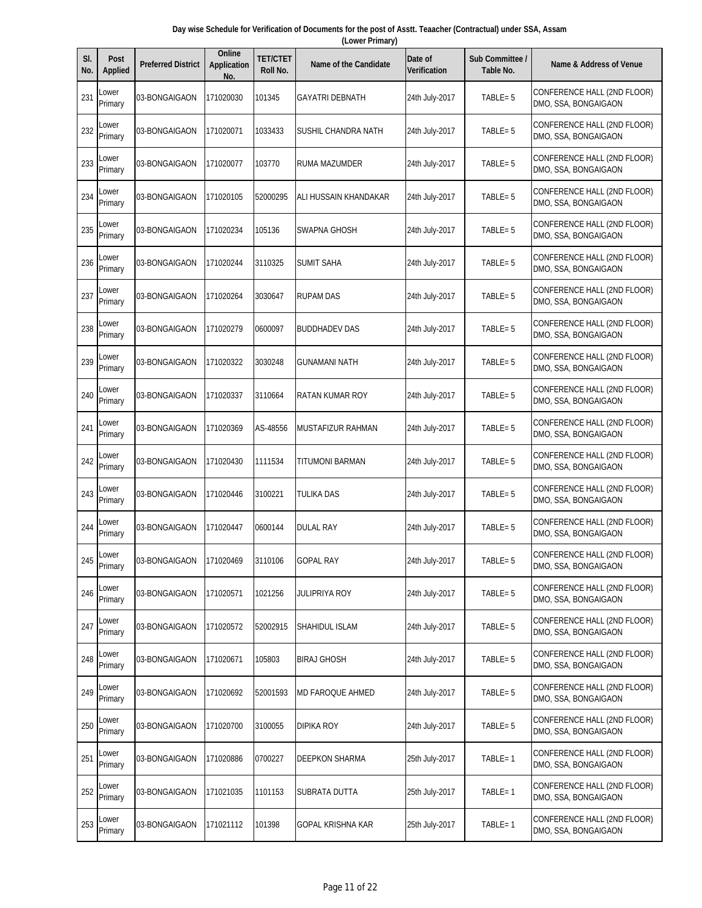| Day wise Schedule for Verification of Documents for the post of Asstt. Teaacher (Contractual) under SSA, Assam |  |
|----------------------------------------------------------------------------------------------------------------|--|
| (Lower Primary)                                                                                                |  |

| SI.<br>No. | <b>Post</b><br><b>Applied</b> | <b>Preferred District</b> | Online<br><b>Application</b><br>No. | <b>TET/CTET</b><br>Roll No. | <b>Name of the Candidate</b> | Date of<br>Verification | Sub Committee /<br>Table No. | <b>Name &amp; Address of Venue</b>                  |
|------------|-------------------------------|---------------------------|-------------------------------------|-----------------------------|------------------------------|-------------------------|------------------------------|-----------------------------------------------------|
| 231        | _ower<br>Primary              | 03-BONGAIGAON             | 171020030                           | 101345                      | <b>GAYATRI DEBNATH</b>       | 24th July-2017          | TABLE= 5                     | CONFERENCE HALL (2ND FLOOR)<br>DMO, SSA, BONGAIGAON |
| 232        | Lower<br>Primary              | 03-BONGAIGAON             | 171020071                           | 1033433                     | SUSHIL CHANDRA NATH          | 24th July-2017          | $TABLE = 5$                  | CONFERENCE HALL (2ND FLOOR)<br>DMO, SSA, BONGAIGAON |
| 233        | _ower<br>Primary              | 03-BONGAIGAON             | 171020077                           | 103770                      | <b>RUMA MAZUMDER</b>         | 24th July-2017          | $TABLE = 5$                  | CONFERENCE HALL (2ND FLOOR)<br>DMO, SSA, BONGAIGAON |
| 234        | Lower<br>Primary              | 03-BONGAIGAON             | 171020105                           | 52000295                    | ALI HUSSAIN KHANDAKAR        | 24th July-2017          | $TABLE = 5$                  | CONFERENCE HALL (2ND FLOOR)<br>DMO, SSA, BONGAIGAON |
| 235        | Lower<br>Primary              | 03-BONGAIGAON             | 171020234                           | 105136                      | SWAPNA GHOSH                 | 24th July-2017          | $TABLE = 5$                  | CONFERENCE HALL (2ND FLOOR)<br>DMO, SSA, BONGAIGAON |
| 236        | Lower<br>Primary              | 03-BONGAIGAON             | 171020244                           | 3110325                     | <b>SUMIT SAHA</b>            | 24th July-2017          | $TABLE = 5$                  | CONFERENCE HALL (2ND FLOOR)<br>DMO, SSA, BONGAIGAON |
| 237        | Lower<br>Primary              | 03-BONGAIGAON             | 171020264                           | 3030647                     | <b>RUPAM DAS</b>             | 24th July-2017          | $TABLE = 5$                  | CONFERENCE HALL (2ND FLOOR)<br>DMO, SSA, BONGAIGAON |
| 238        | Lower<br>Primary              | 03-BONGAIGAON             | 171020279                           | 0600097                     | <b>BUDDHADEV DAS</b>         | 24th July-2017          | $TABLE = 5$                  | CONFERENCE HALL (2ND FLOOR)<br>DMO, SSA, BONGAIGAON |
| 239        | Lower<br>Primary              | 03-BONGAIGAON             | 171020322                           | 3030248                     | <b>GUNAMANI NATH</b>         | 24th July-2017          | $TABLE = 5$                  | CONFERENCE HALL (2ND FLOOR)<br>DMO, SSA, BONGAIGAON |
| 240        | Lower<br>Primary              | 03-BONGAIGAON             | 171020337                           | 3110664                     | RATAN KUMAR ROY              | 24th July-2017          | $TABLE = 5$                  | CONFERENCE HALL (2ND FLOOR)<br>DMO, SSA, BONGAIGAON |
| 241        | Lower<br>Primary              | 03-BONGAIGAON             | 171020369                           | AS-48556                    | MUSTAFIZUR RAHMAN            | 24th July-2017          | $TABLE = 5$                  | CONFERENCE HALL (2ND FLOOR)<br>DMO, SSA, BONGAIGAON |
| 242        | _ower<br>Primary              | 03-BONGAIGAON             | 171020430                           | 1111534                     | TITUMONI BARMAN              | 24th July-2017          | $TABLE = 5$                  | CONFERENCE HALL (2ND FLOOR)<br>DMO, SSA, BONGAIGAON |
| 243        | Lower<br>Primary              | 03-BONGAIGAON             | 171020446                           | 3100221                     | TULIKA DAS                   | 24th July-2017          | $TABLE = 5$                  | CONFERENCE HALL (2ND FLOOR)<br>DMO, SSA, BONGAIGAON |
| 244        | Lower<br>Primary              | 03-BONGAIGAON             | 171020447                           | 0600144                     | <b>DULAL RAY</b>             | 24th July-2017          | $TABLE = 5$                  | CONFERENCE HALL (2ND FLOOR)<br>DMO, SSA, BONGAIGAON |
| 245        | Lower<br>Primary              | 03-BONGAIGAON             | 171020469                           | 3110106                     | <b>GOPAL RAY</b>             | 24th July-2017          | TABLE= 5                     | CONFERENCE HALL (2ND FLOOR)<br>DMO, SSA, BONGAIGAON |
| 246        | _ower<br>Primary              | 03-BONGAIGAON             | 171020571                           | 1021256                     | <b>JULIPRIYA ROY</b>         | 24th July-2017          | TABLE= 5                     | CONFERENCE HALL (2ND FLOOR)<br>DMO, SSA, BONGAIGAON |
| 247        | Lower<br>Primary              | 03-BONGAIGAON             | 171020572                           | 52002915                    | SHAHIDUL ISLAM               | 24th July-2017          | TABLE= 5                     | CONFERENCE HALL (2ND FLOOR)<br>DMO, SSA, BONGAIGAON |
| 248        | Lower<br>Primary              | 03-BONGAIGAON             | 171020671                           | 105803                      | <b>BIRAJ GHOSH</b>           | 24th July-2017          | $TABLE = 5$                  | CONFERENCE HALL (2ND FLOOR)<br>DMO, SSA, BONGAIGAON |
| 249        | Lower<br>Primary              | 03-BONGAIGAON             | 171020692                           | 52001593                    | MD FAROQUE AHMED             | 24th July-2017          | TABLE= 5                     | CONFERENCE HALL (2ND FLOOR)<br>DMO, SSA, BONGAIGAON |
| 250        | Lower<br>Primary              | 03-BONGAIGAON             | 171020700                           | 3100055                     | DIPIKA ROY                   | 24th July-2017          | TABLE= 5                     | CONFERENCE HALL (2ND FLOOR)<br>DMO, SSA, BONGAIGAON |
| 251        | Lower<br>Primary              | 03-BONGAIGAON             | 171020886                           | 0700227                     | DEEPKON SHARMA               | 25th July-2017          | TABLE=1                      | CONFERENCE HALL (2ND FLOOR)<br>DMO, SSA, BONGAIGAON |
| 252        | Lower<br>Primary              | 03-BONGAIGAON             | 171021035                           | 1101153                     | SUBRATA DUTTA                | 25th July-2017          | TABLE=1                      | CONFERENCE HALL (2ND FLOOR)<br>DMO, SSA, BONGAIGAON |
| 253        | Lower<br>Primary              | 03-BONGAIGAON             | 171021112                           | 101398                      | GOPAL KRISHNA KAR            | 25th July-2017          | TABLE=1                      | CONFERENCE HALL (2ND FLOOR)<br>DMO, SSA, BONGAIGAON |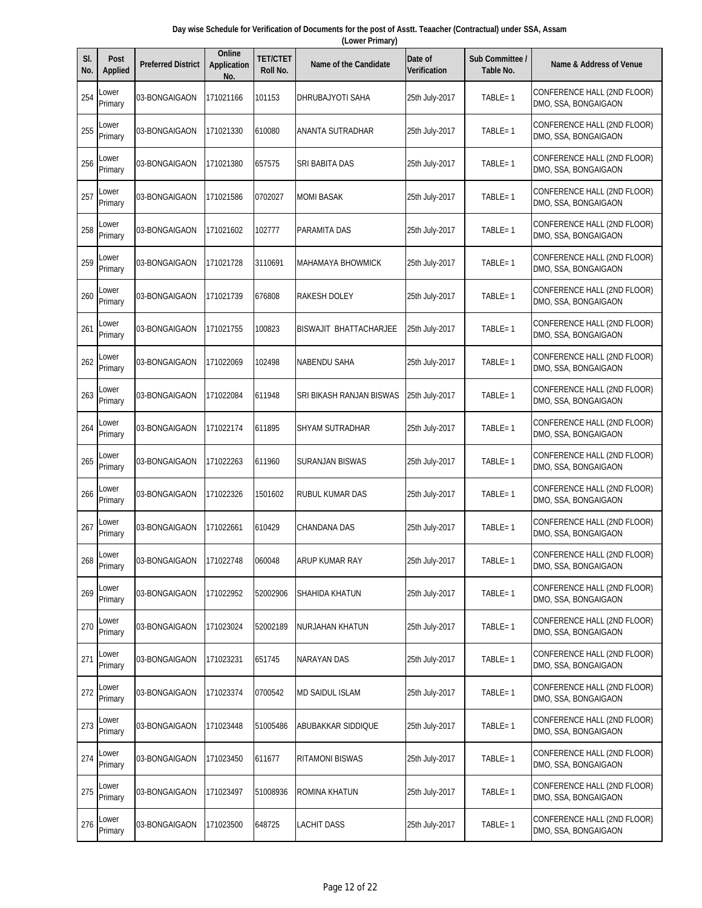| Day wise Schedule for Verification of Documents for the post of Asstt. Teaacher (Contractual) under SSA, Assam |  |
|----------------------------------------------------------------------------------------------------------------|--|
| (Lower Primary)                                                                                                |  |

| SI.<br>No. | <b>Post</b><br><b>Applied</b> | <b>Preferred District</b> | Online<br><b>Application</b><br>No. | <b>TET/CTET</b><br>Roll No. | <b>Name of the Candidate</b> | Date of<br><b>Verification</b> | <b>Sub Committee /</b><br>Table No. | Name & Address of Venue                                    |
|------------|-------------------------------|---------------------------|-------------------------------------|-----------------------------|------------------------------|--------------------------------|-------------------------------------|------------------------------------------------------------|
| 254        | Lower<br>Primary              | 03-BONGAIGAON             | 171021166                           | 101153                      | DHRUBAJYOTI SAHA             | 25th July-2017                 | TABLE=1                             | CONFERENCE HALL (2ND FLOOR)<br>DMO, SSA, BONGAIGAON        |
| 255        | Lower<br>Primary              | 03-BONGAIGAON             | 171021330                           | 610080                      | ANANTA SUTRADHAR             | 25th July-2017                 | $TABLE = 1$                         | CONFERENCE HALL (2ND FLOOR)<br>DMO, SSA, BONGAIGAON        |
| 256        | Lower<br>Primary              | 03-BONGAIGAON             | 171021380                           | 657575                      | SRI BABITA DAS               | 25th July-2017                 | $TABLE = 1$                         | CONFERENCE HALL (2ND FLOOR)<br>DMO, SSA, BONGAIGAON        |
| 257        | Lower<br>Primary              | 03-BONGAIGAON             | 171021586                           | 0702027                     | <b>MOMI BASAK</b>            | 25th July-2017                 | $TABLE = 1$                         | CONFERENCE HALL (2ND FLOOR)<br>DMO, SSA, BONGAIGAON        |
| 258        | Lower<br>Primary              | 03-BONGAIGAON             | 171021602                           | 102777                      | PARAMITA DAS                 | 25th July-2017                 | TABLE=1                             | CONFERENCE HALL (2ND FLOOR)<br>DMO, SSA, BONGAIGAON        |
| 259        | Lower<br>Primary              | 03-BONGAIGAON             | 171021728                           | 3110691                     | MAHAMAYA BHOWMICK            | 25th July-2017                 | TABLE=1                             | CONFERENCE HALL (2ND FLOOR)<br>DMO, SSA, BONGAIGAON        |
| 260        | Lower<br>Primary              | 03-BONGAIGAON             | 171021739                           | 676808                      | <b>RAKESH DOLEY</b>          | 25th July-2017                 | TABLE=1                             | CONFERENCE HALL (2ND FLOOR)<br>DMO, SSA, BONGAIGAON        |
| 261        | Lower<br>Primary              | 03-BONGAIGAON             | 171021755                           | 100823                      | BISWAJIT BHATTACHARJEE       | 25th July-2017                 | $TABLE = 1$                         | CONFERENCE HALL (2ND FLOOR)<br>DMO, SSA, BONGAIGAON        |
| 262        | Lower<br>Primary              | 03-BONGAIGAON             | 171022069                           | 102498                      | NABENDU SAHA                 | 25th July-2017                 | $TABLE = 1$                         | <b>CONFERENCE HALL (2ND FLOOR)</b><br>DMO, SSA, BONGAIGAON |
| 263        | Lower<br>Primary              | 03-BONGAIGAON             | 171022084                           | 611948                      | SRI BIKASH RANJAN BISWAS     | 25th July-2017                 | TABLE=1                             | CONFERENCE HALL (2ND FLOOR)<br>DMO, SSA, BONGAIGAON        |
| 264        | Lower<br>Primary              | 03-BONGAIGAON             | 171022174                           | 611895                      | SHYAM SUTRADHAR              | 25th July-2017                 | TABLE=1                             | CONFERENCE HALL (2ND FLOOR)<br>DMO, SSA, BONGAIGAON        |
| 265        | Lower<br>Primary              | 03-BONGAIGAON             | 171022263                           | 611960                      | <b>SURANJAN BISWAS</b>       | 25th July-2017                 | TABLE=1                             | CONFERENCE HALL (2ND FLOOR)<br>DMO, SSA, BONGAIGAON        |
| 266        | Lower<br>Primary              | 03-BONGAIGAON             | 171022326                           | 1501602                     | RUBUL KUMAR DAS              | 25th July-2017                 | $TABLE = 1$                         | CONFERENCE HALL (2ND FLOOR)<br>DMO, SSA, BONGAIGAON        |
| 267        | Lower<br>Primary              | 03-BONGAIGAON             | 171022661                           | 610429                      | CHANDANA DAS                 | 25th July-2017                 | TABLE=1                             | CONFERENCE HALL (2ND FLOOR)<br>DMO, SSA, BONGAIGAON        |
| 268        | Lower<br>Primary              | 03-BONGAIGAON             | 171022748                           | 060048                      | ARUP KUMAR RAY               | 25th July-2017                 | TABLE=1                             | <b>CONFERENCE HALL (2ND FLOOR)</b><br>DMO, SSA, BONGAIGAON |
| 269        | Lower<br>Primary              | 03-BONGAIGAON             | 171022952                           | 52002906                    | SHAHIDA KHATUN               | 25th July-2017                 | TABLE=1                             | CONFERENCE HALL (2ND FLOOR)<br>DMO, SSA, BONGAIGAON        |
| 270        | Lower<br>Primary              | 03-BONGAIGAON             | 171023024                           | 52002189                    | NURJAHAN KHATUN              | 25th July-2017                 | TABLE=1                             | CONFERENCE HALL (2ND FLOOR)<br>DMO, SSA, BONGAIGAON        |
| 271        | Lower<br>Primary              | 03-BONGAIGAON             | 171023231                           | 651745                      | <b>NARAYAN DAS</b>           | 25th July-2017                 | TABLE=1                             | CONFERENCE HALL (2ND FLOOR)<br>DMO, SSA, BONGAIGAON        |
| 272        | Lower<br>Primary              | 03-BONGAIGAON             | 171023374                           | 0700542                     | <b>MD SAIDUL ISLAM</b>       | 25th July-2017                 | TABLE=1                             | CONFERENCE HALL (2ND FLOOR)<br>DMO, SSA, BONGAIGAON        |
| 273        | Lower<br>Primary              | 03-BONGAIGAON             | 171023448                           | 51005486                    | ABUBAKKAR SIDDIQUE           | 25th July-2017                 | TABLE=1                             | CONFERENCE HALL (2ND FLOOR)<br>DMO, SSA, BONGAIGAON        |
| 274        | Lower<br>Primary              | 03-BONGAIGAON             | 171023450                           | 611677                      | RITAMONI BISWAS              | 25th July-2017                 | TABLE=1                             | CONFERENCE HALL (2ND FLOOR)<br>DMO, SSA, BONGAIGAON        |
| 275        | Lower<br>Primary              | 03-BONGAIGAON             | 171023497                           | 51008936                    | <b>ROMINA KHATUN</b>         | 25th July-2017                 | TABLE=1                             | CONFERENCE HALL (2ND FLOOR)<br>DMO, SSA, BONGAIGAON        |
| 276        | Lower<br>Primary              | 03-BONGAIGAON             | 171023500                           | 648725                      | LACHIT DASS                  | 25th July-2017                 | TABLE=1                             | CONFERENCE HALL (2ND FLOOR)<br>DMO, SSA, BONGAIGAON        |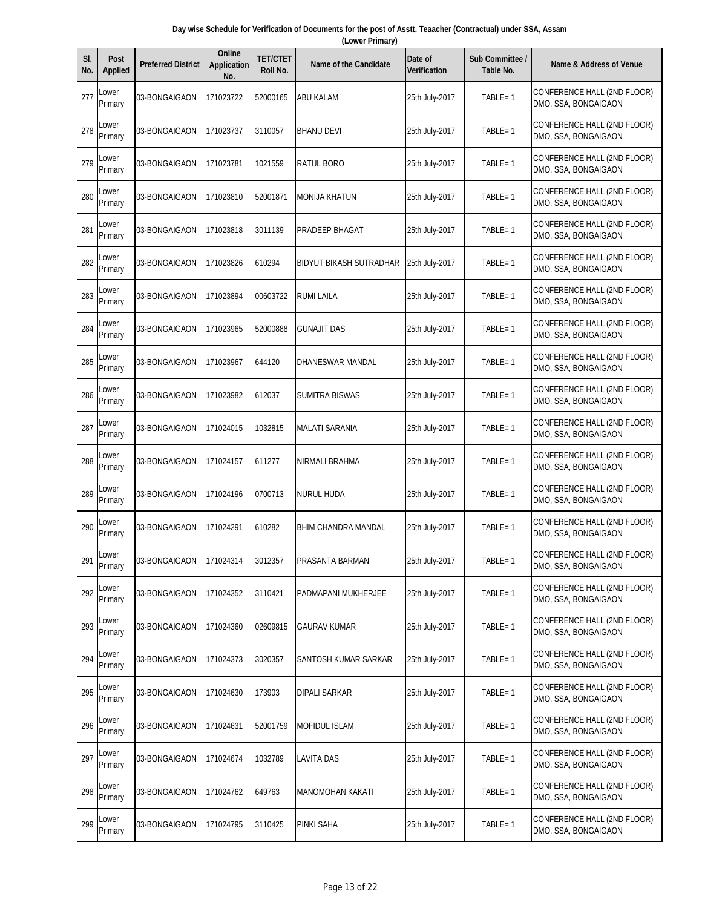|  | Day wise Schedule for Verification of Documents for the post of Asstt. Teaacher (Contractual) under SSA, Assam |  |  |
|--|----------------------------------------------------------------------------------------------------------------|--|--|
|  | (Lower Primary)                                                                                                |  |  |
|  |                                                                                                                |  |  |

| SI.<br>No. | <b>Post</b><br><b>Applied</b> | <b>Preferred District</b> | Online<br><b>Application</b><br>No. | <b>TET/CTET</b><br>Roll No. | <b>Name of the Candidate</b> | Date of<br><b>Verification</b> | Sub Committee /<br>Table No. | <b>Name &amp; Address of Venue</b>                  |
|------------|-------------------------------|---------------------------|-------------------------------------|-----------------------------|------------------------------|--------------------------------|------------------------------|-----------------------------------------------------|
| 277        | Lower<br>Primary              | 03-BONGAIGAON             | 171023722                           | 52000165                    | ABU KALAM                    | 25th July-2017                 | TABLE=1                      | CONFERENCE HALL (2ND FLOOR)<br>DMO, SSA, BONGAIGAON |
| 278        | Lower<br>Primary              | 03-BONGAIGAON             | 171023737                           | 3110057                     | <b>BHANU DEVI</b>            | 25th July-2017                 | $TABLE = 1$                  | CONFERENCE HALL (2ND FLOOR)<br>DMO, SSA, BONGAIGAON |
| 279        | Lower<br>Primary              | 03-BONGAIGAON             | 171023781                           | 1021559                     | RATUL BORO                   | 25th July-2017                 | TABLE=1                      | CONFERENCE HALL (2ND FLOOR)<br>DMO, SSA, BONGAIGAON |
| 280        | Lower<br>Primary              | 03-BONGAIGAON             | 171023810                           | 52001871                    | MONIJA KHATUN                | 25th July-2017                 | TABLE=1                      | CONFERENCE HALL (2ND FLOOR)<br>DMO, SSA, BONGAIGAON |
| 281        | Lower<br>Primary              | 03-BONGAIGAON             | 171023818                           | 3011139                     | PRADEEP BHAGAT               | 25th July-2017                 | TABLE=1                      | CONFERENCE HALL (2ND FLOOR)<br>DMO, SSA, BONGAIGAON |
| 282        | Lower<br>Primary              | 03-BONGAIGAON             | 171023826                           | 610294                      | BIDYUT BIKASH SUTRADHAR      | 25th July-2017                 | TABLE=1                      | CONFERENCE HALL (2ND FLOOR)<br>DMO, SSA, BONGAIGAON |
| 283        | Lower<br>Primary              | 03-BONGAIGAON             | 171023894                           | 00603722                    | <b>RUMI LAILA</b>            | 25th July-2017                 | $TABLE = 1$                  | CONFERENCE HALL (2ND FLOOR)<br>DMO, SSA, BONGAIGAON |
| 284        | Lower<br>Primary              | 03-BONGAIGAON             | 171023965                           | 52000888                    | <b>GUNAJIT DAS</b>           | 25th July-2017                 | TABLE=1                      | CONFERENCE HALL (2ND FLOOR)<br>DMO, SSA, BONGAIGAON |
| 285        | Lower<br>Primary              | 03-BONGAIGAON             | 171023967                           | 644120                      | DHANESWAR MANDAL             | 25th July-2017                 | $TABLE = 1$                  | CONFERENCE HALL (2ND FLOOR)<br>DMO, SSA, BONGAIGAON |
| 286        | Lower<br>Primary              | 03-BONGAIGAON             | 171023982                           | 612037                      | <b>SUMITRA BISWAS</b>        | 25th July-2017                 | $TABLE = 1$                  | CONFERENCE HALL (2ND FLOOR)<br>DMO, SSA, BONGAIGAON |
| 287        | Lower<br>Primary              | 03-BONGAIGAON             | 171024015                           | 1032815                     | <b>MALATI SARANIA</b>        | 25th July-2017                 | TABLE=1                      | CONFERENCE HALL (2ND FLOOR)<br>DMO, SSA, BONGAIGAON |
| 288        | Lower<br>Primary              | 03-BONGAIGAON             | 171024157                           | 611277                      | NIRMALI BRAHMA               | 25th July-2017                 | $TABLE = 1$                  | CONFERENCE HALL (2ND FLOOR)<br>DMO, SSA, BONGAIGAON |
| 289        | Lower<br>Primary              | 03-BONGAIGAON             | 171024196                           | 0700713                     | NURUL HUDA                   | 25th July-2017                 | $TABLE = 1$                  | CONFERENCE HALL (2ND FLOOR)<br>DMO, SSA, BONGAIGAON |
| 290        | Lower<br>Primary              | 03-BONGAIGAON             | 171024291                           | 610282                      | BHIM CHANDRA MANDAL          | 25th July-2017                 | $TABLE = 1$                  | CONFERENCE HALL (2ND FLOOR)<br>DMO, SSA, BONGAIGAON |
| 291        | Lower<br>Primary              | 03-BONGAIGAON             | 171024314                           | 3012357                     | PRASANTA BARMAN              | 25th July-2017                 | TABLE=1                      | CONFERENCE HALL (2ND FLOOR)<br>DMO, SSA, BONGAIGAON |
| 292        | Lower<br>Primary              | 03-BONGAIGAON             | 171024352                           | 3110421                     | PADMAPANI MUKHERJEE          | 25th July-2017                 | TABLE=1                      | CONFERENCE HALL (2ND FLOOR)<br>DMO, SSA, BONGAIGAON |
| 293        | Lower<br>Primary              | 03-BONGAIGAON             | 171024360                           | 02609815                    | GAURAV KUMAR                 | 25th July-2017                 | TABLE=1                      | CONFERENCE HALL (2ND FLOOR)<br>DMO, SSA, BONGAIGAON |
| 294        | Lower<br>Primary              | 03-BONGAIGAON             | 171024373                           | 3020357                     | SANTOSH KUMAR SARKAR         | 25th July-2017                 | $TABLE = 1$                  | CONFERENCE HALL (2ND FLOOR)<br>DMO, SSA, BONGAIGAON |
| 295        | Lower<br>Primary              | 03-BONGAIGAON             | 171024630                           | 173903                      | DIPALI SARKAR                | 25th July-2017                 | TABLE=1                      | CONFERENCE HALL (2ND FLOOR)<br>DMO, SSA, BONGAIGAON |
| 296        | Lower<br>Primary              | 03-BONGAIGAON             | 171024631                           | 52001759                    | <b>MOFIDUL ISLAM</b>         | 25th July-2017                 | TABLE=1                      | CONFERENCE HALL (2ND FLOOR)<br>DMO, SSA, BONGAIGAON |
| 297        | Lower<br>Primary              | 03-BONGAIGAON             | 171024674                           | 1032789                     | LAVITA DAS                   | 25th July-2017                 | TABLE=1                      | CONFERENCE HALL (2ND FLOOR)<br>DMO, SSA, BONGAIGAON |
| 298        | Lower<br>Primary              | 03-BONGAIGAON             | 171024762                           | 649763                      | MANOMOHAN KAKATI             | 25th July-2017                 | TABLE=1                      | CONFERENCE HALL (2ND FLOOR)<br>DMO, SSA, BONGAIGAON |
| 299        | Lower<br>Primary              | 03-BONGAIGAON             | 171024795                           | 3110425                     | PINKI SAHA                   | 25th July-2017                 | $TABLE = 1$                  | CONFERENCE HALL (2ND FLOOR)<br>DMO, SSA, BONGAIGAON |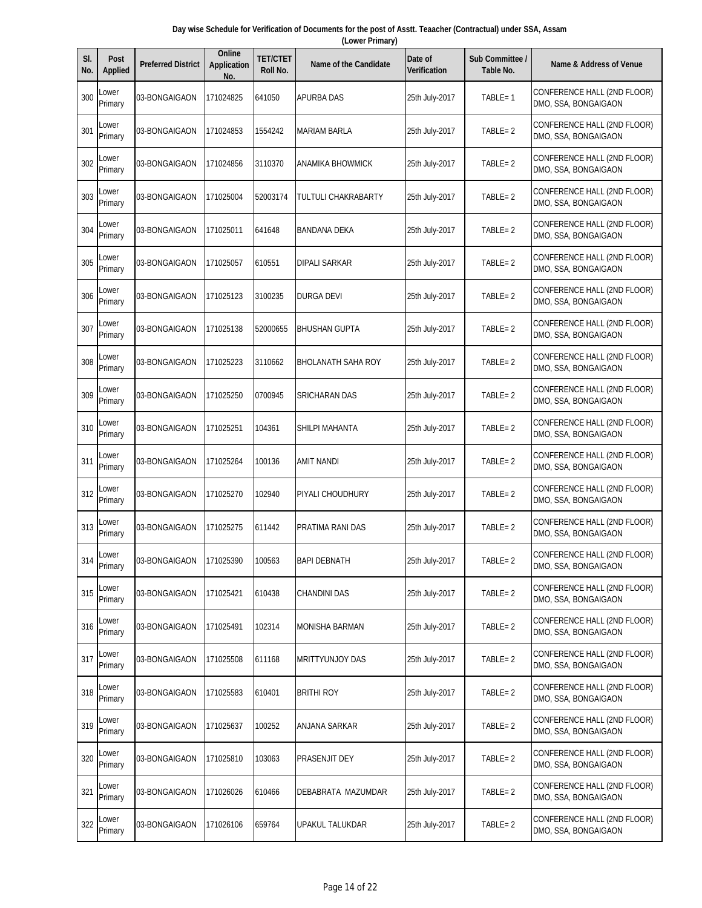|  | Day wise Schedule for Verification of Documents for the post of Asstt. Teaacher (Contractual) under SSA, Assam |  |  |
|--|----------------------------------------------------------------------------------------------------------------|--|--|
|  | (Lower Primary)                                                                                                |  |  |
|  |                                                                                                                |  |  |

| SI.<br>No. | Post<br><b>Applied</b> | <b>Preferred District</b> | Online<br><b>Application</b><br>No. | <b>TET/CTET</b><br>Roll No. | <b>Name of the Candidate</b> | Date of<br><b>Verification</b> | Sub Committee /<br>Table No. | Name & Address of Venue                                    |
|------------|------------------------|---------------------------|-------------------------------------|-----------------------------|------------------------------|--------------------------------|------------------------------|------------------------------------------------------------|
| 300        | _ower<br>Primary       | 03-BONGAIGAON             | 171024825                           | 641050                      | APURBA DAS                   | 25th July-2017                 | TABLE=1                      | CONFERENCE HALL (2ND FLOOR)<br>DMO, SSA, BONGAIGAON        |
| 301        | Lower<br>Primary       | 03-BONGAIGAON             | 171024853                           | 1554242                     | <b>MARIAM BARLA</b>          | 25th July-2017                 | $TABLE = 2$                  | CONFERENCE HALL (2ND FLOOR)<br>DMO, SSA, BONGAIGAON        |
| 302        | Lower<br>Primary       | 03-BONGAIGAON             | 171024856                           | 3110370                     | <b>ANAMIKA BHOWMICK</b>      | 25th July-2017                 | $TABLE = 2$                  | CONFERENCE HALL (2ND FLOOR)<br>DMO, SSA, BONGAIGAON        |
| 303        | Lower<br>Primary       | 03-BONGAIGAON             | 171025004                           | 52003174                    | TULTULI CHAKRABARTY          | 25th July-2017                 | $TABLE = 2$                  | CONFERENCE HALL (2ND FLOOR)<br>DMO, SSA, BONGAIGAON        |
| 304        | Lower<br>Primary       | 03-BONGAIGAON             | 171025011                           | 641648                      | BANDANA DEKA                 | 25th July-2017                 | $TABLE = 2$                  | CONFERENCE HALL (2ND FLOOR)<br>DMO, SSA, BONGAIGAON        |
| 305        | Lower<br>Primary       | 03-BONGAIGAON             | 171025057                           | 610551                      | DIPALI SARKAR                | 25th July-2017                 | TABLE= 2                     | CONFERENCE HALL (2ND FLOOR)<br>DMO, SSA, BONGAIGAON        |
| 306        | Lower<br>Primary       | 03-BONGAIGAON             | 171025123                           | 3100235                     | DURGA DEVI                   | 25th July-2017                 | $TABLE = 2$                  | CONFERENCE HALL (2ND FLOOR)<br>DMO, SSA, BONGAIGAON        |
| 307        | Lower<br>Primary       | 03-BONGAIGAON             | 171025138                           | 52000655                    | <b>BHUSHAN GUPTA</b>         | 25th July-2017                 | $TABLE = 2$                  | CONFERENCE HALL (2ND FLOOR)<br>DMO, SSA, BONGAIGAON        |
| 308        | Lower<br>Primary       | 03-BONGAIGAON             | 171025223                           | 3110662                     | <b>BHOLANATH SAHA ROY</b>    | 25th July-2017                 | $TABLE = 2$                  | CONFERENCE HALL (2ND FLOOR)<br>DMO, SSA, BONGAIGAON        |
| 309        | Lower<br>Primary       | 03-BONGAIGAON             | 171025250                           | 0700945                     | SRICHARAN DAS                | 25th July-2017                 | TABLE= 2                     | CONFERENCE HALL (2ND FLOOR)<br>DMO, SSA, BONGAIGAON        |
| 310        | Lower<br>Primary       | 03-BONGAIGAON             | 171025251                           | 104361                      | SHILPI MAHANTA               | 25th July-2017                 | $TABLE = 2$                  | CONFERENCE HALL (2ND FLOOR)<br>DMO, SSA, BONGAIGAON        |
| 311        | Lower<br>Primary       | 03-BONGAIGAON             | 171025264                           | 100136                      | AMIT NANDI                   | 25th July-2017                 | $TABLE = 2$                  | CONFERENCE HALL (2ND FLOOR)<br>DMO, SSA, BONGAIGAON        |
| 312        | Lower<br>Primary       | 03-BONGAIGAON             | 171025270                           | 102940                      | PIYALI CHOUDHURY             | 25th July-2017                 | $TABLE = 2$                  | CONFERENCE HALL (2ND FLOOR)<br>DMO, SSA, BONGAIGAON        |
| 313        | Lower<br>Primary       | 03-BONGAIGAON             | 171025275                           | 611442                      | PRATIMA RANI DAS             | 25th July-2017                 | $TABLE = 2$                  | CONFERENCE HALL (2ND FLOOR)<br>DMO, SSA, BONGAIGAON        |
| 314        | Lower<br>Primary       | 03-BONGAIGAON             | 171025390                           | 100563                      | <b>BAPI DEBNATH</b>          | 25th July-2017                 | $TABLE = 2$                  | CONFERENCE HALL (2ND FLOOR)<br>DMO, SSA, BONGAIGAON        |
| 315        | Lower<br>Primary       | 03-BONGAIGAON             | 171025421                           | 610438                      | <b>CHANDINI DAS</b>          | 25th July-2017                 | $TABLE = 2$                  | CONFERENCE HALL (2ND FLOOR)<br>DMO, SSA, BONGAIGAON        |
| 316        | Lower<br>Primary       | 03-BONGAIGAON             | 171025491                           | 102314                      | MONISHA BARMAN               | 25th July-2017                 | $TABLE = 2$                  | <b>CONFERENCE HALL (2ND FLOOR)</b><br>DMO, SSA, BONGAIGAON |
| 317        | Lower<br>Primary       | 03-BONGAIGAON             | 171025508                           | 611168                      | MRITTYUNJOY DAS              | 25th July-2017                 | $TABLE = 2$                  | CONFERENCE HALL (2ND FLOOR)<br>DMO, SSA, BONGAIGAON        |
| 318        | Lower<br>Primary       | 03-BONGAIGAON             | 171025583                           | 610401                      | <b>BRITHI ROY</b>            | 25th July-2017                 | $TABLE = 2$                  | CONFERENCE HALL (2ND FLOOR)<br>DMO, SSA, BONGAIGAON        |
| 319        | Lower<br>Primary       | 03-BONGAIGAON             | 171025637                           | 100252                      | ANJANA SARKAR                | 25th July-2017                 | $TABLE = 2$                  | CONFERENCE HALL (2ND FLOOR)<br>DMO, SSA, BONGAIGAON        |
| 320        | Lower<br>Primary       | 03-BONGAIGAON             | 171025810                           | 103063                      | PRASENJIT DEY                | 25th July-2017                 | $TABLE = 2$                  | CONFERENCE HALL (2ND FLOOR)<br>DMO, SSA, BONGAIGAON        |
| 321        | Lower<br>Primary       | 03-BONGAIGAON             | 171026026                           | 610466                      | DEBABRATA MAZUMDAR           | 25th July-2017                 | $TABLE = 2$                  | CONFERENCE HALL (2ND FLOOR)<br>DMO, SSA, BONGAIGAON        |
| 322        | Lower<br>Primary       | 03-BONGAIGAON             | 171026106                           | 659764                      | UPAKUL TALUKDAR              | 25th July-2017                 | $TABLE = 2$                  | CONFERENCE HALL (2ND FLOOR)<br>DMO, SSA, BONGAIGAON        |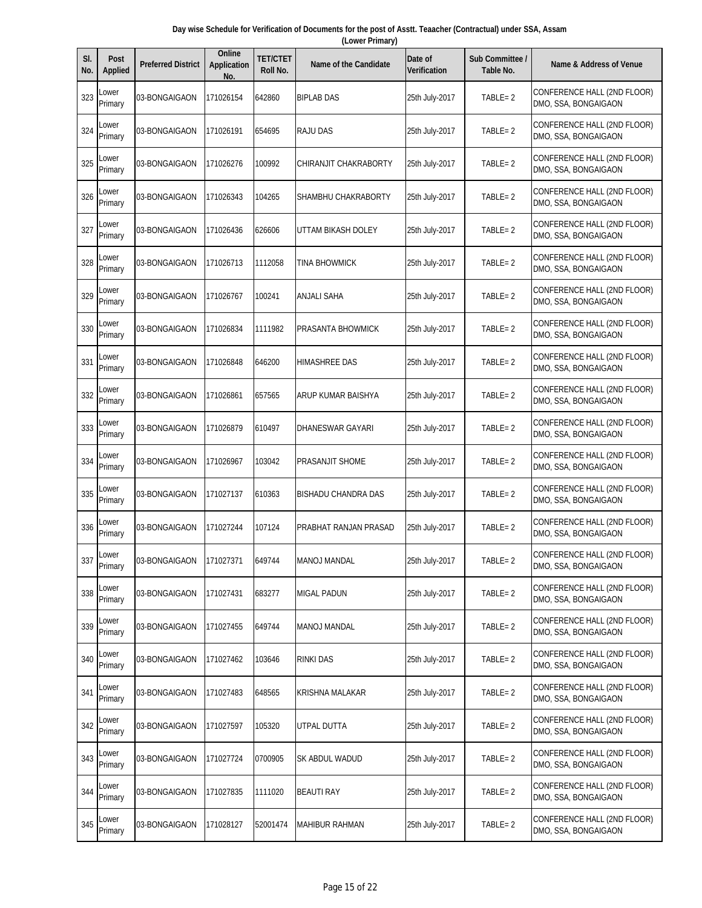|  | Day wise Schedule for Verification of Documents for the post of Asstt. Teaacher (Contractual) under SSA, Assam |  |  |
|--|----------------------------------------------------------------------------------------------------------------|--|--|
|  | (Lower Primary)                                                                                                |  |  |
|  |                                                                                                                |  |  |

| SI.<br>No. | <b>Post</b><br><b>Applied</b> | <b>Preferred District</b> | Online<br><b>Application</b><br>No. | <b>TET/CTET</b><br>Roll No. | <b>Name of the Candidate</b> | Date of<br>Verification | Sub Committee /<br>Table No. | <b>Name &amp; Address of Venue</b>                  |
|------------|-------------------------------|---------------------------|-------------------------------------|-----------------------------|------------------------------|-------------------------|------------------------------|-----------------------------------------------------|
| 323        | ower.<br>Primary              | 03-BONGAIGAON             | 171026154                           | 642860                      | <b>BIPLAB DAS</b>            | 25th July-2017          | $TABLE = 2$                  | CONFERENCE HALL (2ND FLOOR)<br>DMO, SSA, BONGAIGAON |
| 324        | Lower<br>Primary              | 03-BONGAIGAON             | 171026191                           | 654695                      | <b>RAJU DAS</b>              | 25th July-2017          | $TABLE = 2$                  | CONFERENCE HALL (2ND FLOOR)<br>DMO, SSA, BONGAIGAON |
| 325        | Lower<br>Primary              | 03-BONGAIGAON             | 171026276                           | 100992                      | CHIRANJIT CHAKRABORTY        | 25th July-2017          | $TABLE = 2$                  | CONFERENCE HALL (2ND FLOOR)<br>DMO, SSA, BONGAIGAON |
| 326        | Lower<br>Primary              | 03-BONGAIGAON             | 171026343                           | 104265                      | SHAMBHU CHAKRABORTY          | 25th July-2017          | $TABLE = 2$                  | CONFERENCE HALL (2ND FLOOR)<br>DMO, SSA, BONGAIGAON |
| 327        | Lower<br>Primary              | 03-BONGAIGAON             | 171026436                           | 626606                      | UTTAM BIKASH DOLEY           | 25th July-2017          | $TABLE = 2$                  | CONFERENCE HALL (2ND FLOOR)<br>DMO, SSA, BONGAIGAON |
| 328        | Lower<br>Primary              | 03-BONGAIGAON             | 171026713                           | 1112058                     | TINA BHOWMICK                | 25th July-2017          | $TABLE = 2$                  | CONFERENCE HALL (2ND FLOOR)<br>DMO, SSA, BONGAIGAON |
| 329        | Lower<br>Primary              | 03-BONGAIGAON             | 171026767                           | 100241                      | ANJALI SAHA                  | 25th July-2017          | $TABLE = 2$                  | CONFERENCE HALL (2ND FLOOR)<br>DMO, SSA, BONGAIGAON |
| 330        | Lower<br>Primary              | 03-BONGAIGAON             | 171026834                           | 1111982                     | PRASANTA BHOWMICK            | 25th July-2017          | $TABLE = 2$                  | CONFERENCE HALL (2ND FLOOR)<br>DMO, SSA, BONGAIGAON |
| 331        | Lower<br>Primary              | 03-BONGAIGAON             | 171026848                           | 646200                      | <b>HIMASHREE DAS</b>         | 25th July-2017          | $TABLE = 2$                  | CONFERENCE HALL (2ND FLOOR)<br>DMO, SSA, BONGAIGAON |
| 332        | Lower<br>Primary              | 03-BONGAIGAON             | 171026861                           | 657565                      | ARUP KUMAR BAISHYA           | 25th July-2017          | $TABLE = 2$                  | CONFERENCE HALL (2ND FLOOR)<br>DMO, SSA, BONGAIGAON |
| 333        | Lower<br>Primary              | 03-BONGAIGAON             | 171026879                           | 610497                      | DHANESWAR GAYARI             | 25th July-2017          | $TABLE = 2$                  | CONFERENCE HALL (2ND FLOOR)<br>DMO, SSA, BONGAIGAON |
| 334        | _ower<br>Primary              | 03-BONGAIGAON             | 171026967                           | 103042                      | PRASANJIT SHOME              | 25th July-2017          | $TABLE = 2$                  | CONFERENCE HALL (2ND FLOOR)<br>DMO, SSA, BONGAIGAON |
| 335        | Lower<br>Primary              | 03-BONGAIGAON             | 171027137                           | 610363                      | BISHADU CHANDRA DAS          | 25th July-2017          | $TABLE = 2$                  | CONFERENCE HALL (2ND FLOOR)<br>DMO, SSA, BONGAIGAON |
| 336        | Lower<br>Primary              | 03-BONGAIGAON             | 171027244                           | 107124                      | PRABHAT RANJAN PRASAD        | 25th July-2017          | $TABLE = 2$                  | CONFERENCE HALL (2ND FLOOR)<br>DMO, SSA, BONGAIGAON |
|            | $337$ Lower<br>Primary        | 03-BONGAIGAON             | 171027371                           | 649744                      | MANOJ MANDAL                 | 25th July-2017          | $TABLE = 2$                  | CONFERENCE HALL (2ND FLOOR)<br>DMO, SSA, BONGAIGAON |
| 338        | Lower<br>Primary              | 03-BONGAIGAON             | 171027431                           | 683277                      | <b>MIGAL PADUN</b>           | 25th July-2017          | TABLE=2                      | CONFERENCE HALL (2ND FLOOR)<br>DMO, SSA, BONGAIGAON |
| 339        | Lower<br>Primary              | 03-BONGAIGAON             | 171027455                           | 649744                      | <b>MANOJ MANDAL</b>          | 25th July-2017          | $TABLE = 2$                  | CONFERENCE HALL (2ND FLOOR)<br>DMO, SSA, BONGAIGAON |
| 340        | Lower<br>Primary              | 03-BONGAIGAON             | 171027462                           | 103646                      | <b>RINKI DAS</b>             | 25th July-2017          | $TABLE = 2$                  | CONFERENCE HALL (2ND FLOOR)<br>DMO, SSA, BONGAIGAON |
| 341        | Lower<br>Primary              | 03-BONGAIGAON             | 171027483                           | 648565                      | KRISHNA MALAKAR              | 25th July-2017          | $TABLE = 2$                  | CONFERENCE HALL (2ND FLOOR)<br>DMO, SSA, BONGAIGAON |
| 342        | Lower<br>Primary              | 03-BONGAIGAON             | 171027597                           | 105320                      | UTPAL DUTTA                  | 25th July-2017          | $TABLE = 2$                  | CONFERENCE HALL (2ND FLOOR)<br>DMO, SSA, BONGAIGAON |
| 343        | Lower<br>Primary              | 03-BONGAIGAON             | 171027724                           | 0700905                     | SK ABDUL WADUD               | 25th July-2017          | $TABLE = 2$                  | CONFERENCE HALL (2ND FLOOR)<br>DMO, SSA, BONGAIGAON |
| 344        | Lower<br>Primary              | 03-BONGAIGAON             | 171027835                           | 1111020                     | <b>BEAUTI RAY</b>            | 25th July-2017          | TABLE=2                      | CONFERENCE HALL (2ND FLOOR)<br>DMO, SSA, BONGAIGAON |
| 345        | Lower<br>Primary              | 03-BONGAIGAON             | 171028127                           | 52001474                    | <b>MAHIBUR RAHMAN</b>        | 25th July-2017          | $TABLE = 2$                  | CONFERENCE HALL (2ND FLOOR)<br>DMO, SSA, BONGAIGAON |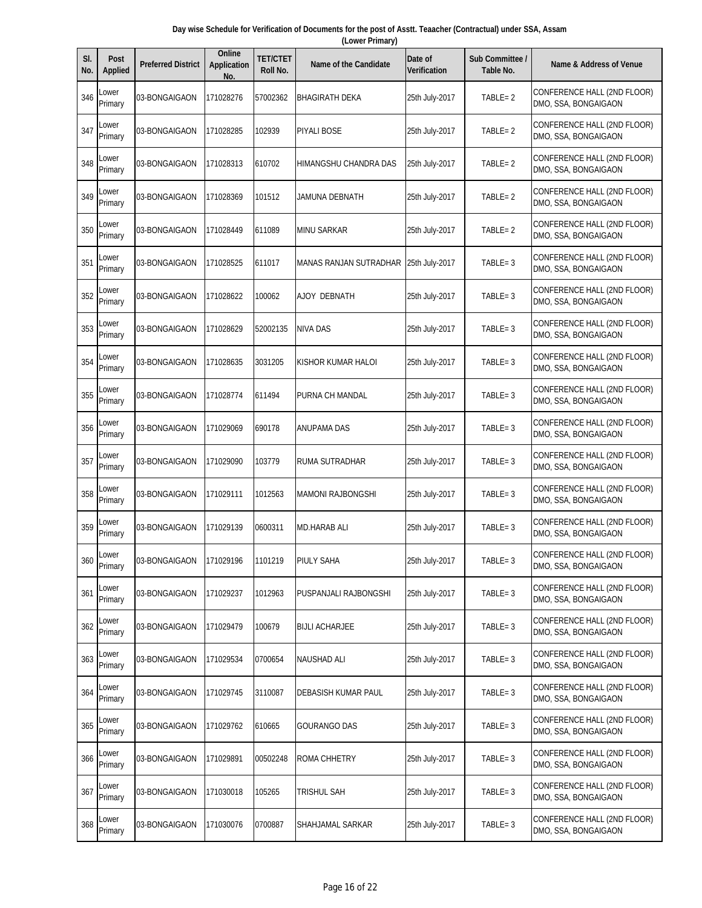| Day wise Schedule for Verification of Documents for the post of Asstt. Teaacher (Contractual) under SSA, Assam |  |
|----------------------------------------------------------------------------------------------------------------|--|
| (Lower Primary)                                                                                                |  |

| SI.<br>No. | <b>Post</b><br><b>Applied</b> | <b>Preferred District</b> | Online<br><b>Application</b><br>No. | <b>TET/CTET</b><br>Roll No. | <b>Name of the Candidate</b> | Date of<br>Verification | Sub Committee /<br>Table No. | <b>Name &amp; Address of Venue</b>                  |
|------------|-------------------------------|---------------------------|-------------------------------------|-----------------------------|------------------------------|-------------------------|------------------------------|-----------------------------------------------------|
| 346        | ower.<br>Primary              | 03-BONGAIGAON             | 171028276                           | 57002362                    | <b>BHAGIRATH DEKA</b>        | 25th July-2017          | $TABLE = 2$                  | CONFERENCE HALL (2ND FLOOR)<br>DMO, SSA, BONGAIGAON |
| 347        | Lower<br>Primary              | 03-BONGAIGAON             | 171028285                           | 102939                      | PIYALI BOSE                  | 25th July-2017          | $TABLE = 2$                  | CONFERENCE HALL (2ND FLOOR)<br>DMO, SSA, BONGAIGAON |
| 348        | Lower<br>Primary              | 03-BONGAIGAON             | 171028313                           | 610702                      | HIMANGSHU CHANDRA DAS        | 25th July-2017          | $TABLE = 2$                  | CONFERENCE HALL (2ND FLOOR)<br>DMO, SSA, BONGAIGAON |
| 349        | Lower<br>Primary              | 03-BONGAIGAON             | 171028369                           | 101512                      | JAMUNA DEBNATH               | 25th July-2017          | $TABLE = 2$                  | CONFERENCE HALL (2ND FLOOR)<br>DMO, SSA, BONGAIGAON |
| 350        | Lower<br>Primary              | 03-BONGAIGAON             | 171028449                           | 611089                      | <b>MINU SARKAR</b>           | 25th July-2017          | $TABLE = 2$                  | CONFERENCE HALL (2ND FLOOR)<br>DMO, SSA, BONGAIGAON |
| 351        | Lower<br>Primary              | 03-BONGAIGAON             | 171028525                           | 611017                      | MANAS RANJAN SUTRADHAR       | 25th July-2017          | $TABLE = 3$                  | CONFERENCE HALL (2ND FLOOR)<br>DMO, SSA, BONGAIGAON |
| 352        | Lower<br>Primary              | 03-BONGAIGAON             | 171028622                           | 100062                      | AJOY DEBNATH                 | 25th July-2017          | $TABLE = 3$                  | CONFERENCE HALL (2ND FLOOR)<br>DMO, SSA, BONGAIGAON |
| 353        | Lower<br>Primary              | 03-BONGAIGAON             | 171028629                           | 52002135                    | <b>NIVA DAS</b>              | 25th July-2017          | $TABLE = 3$                  | CONFERENCE HALL (2ND FLOOR)<br>DMO, SSA, BONGAIGAON |
| 354        | Lower<br>Primary              | 03-BONGAIGAON             | 171028635                           | 3031205                     | KISHOR KUMAR HALOI           | 25th July-2017          | $TABLE = 3$                  | CONFERENCE HALL (2ND FLOOR)<br>DMO, SSA, BONGAIGAON |
| 355        | Lower<br>Primary              | 03-BONGAIGAON             | 171028774                           | 611494                      | PURNA CH MANDAL              | 25th July-2017          | $TABLE = 3$                  | CONFERENCE HALL (2ND FLOOR)<br>DMO, SSA, BONGAIGAON |
| 356        | Lower<br>Primary              | 03-BONGAIGAON             | 171029069                           | 690178                      | ANUPAMA DAS                  | 25th July-2017          | $TABLE = 3$                  | CONFERENCE HALL (2ND FLOOR)<br>DMO, SSA, BONGAIGAON |
| 357        | Lower<br>Primary              | 03-BONGAIGAON             | 171029090                           | 103779                      | RUMA SUTRADHAR               | 25th July-2017          | $TABLE = 3$                  | CONFERENCE HALL (2ND FLOOR)<br>DMO, SSA, BONGAIGAON |
| 358        | Lower<br>Primary              | 03-BONGAIGAON             | 171029111                           | 1012563                     | <b>MAMONI RAJBONGSHI</b>     | 25th July-2017          | $TABLE = 3$                  | CONFERENCE HALL (2ND FLOOR)<br>DMO, SSA, BONGAIGAON |
| 359        | Lower<br>Primary              | 03-BONGAIGAON             | 171029139                           | 0600311                     | <b>MD.HARAB ALI</b>          | 25th July-2017          | $TABLE = 3$                  | CONFERENCE HALL (2ND FLOOR)<br>DMO, SSA, BONGAIGAON |
| 360        | Lower<br>Primary              | 03-BONGAIGAON             | 171029196                           | 1101219                     | PIULY SAHA                   | 25th July-2017          | TABLE=3                      | CONFERENCE HALL (2ND FLOOR)<br>DMO, SSA, BONGAIGAON |
| 361        | Lower<br>Primary              | 03-BONGAIGAON             | 171029237                           | 1012963                     | PUSPANJALI RAJBONGSHI        | 25th July-2017          | TABLE=3                      | CONFERENCE HALL (2ND FLOOR)<br>DMO, SSA, BONGAIGAON |
| 362        | Lower<br>Primary              | 03-BONGAIGAON             | 171029479                           | 100679                      | <b>BIJLI ACHARJEE</b>        | 25th July-2017          | TABLE=3                      | CONFERENCE HALL (2ND FLOOR)<br>DMO, SSA, BONGAIGAON |
| 363        | Lower<br>Primary              | 03-BONGAIGAON             | 171029534                           | 0700654                     | NAUSHAD ALI                  | 25th July-2017          | $TABLE = 3$                  | CONFERENCE HALL (2ND FLOOR)<br>DMO, SSA, BONGAIGAON |
| 364        | Lower<br>Primary              | 03-BONGAIGAON             | 171029745                           | 3110087                     | DEBASISH KUMAR PAUL          | 25th July-2017          | TABLE=3                      | CONFERENCE HALL (2ND FLOOR)<br>DMO, SSA, BONGAIGAON |
| 365        | Lower<br>Primary              | 03-BONGAIGAON             | 171029762                           | 610665                      | GOURANGO DAS                 | 25th July-2017          | TABLE=3                      | CONFERENCE HALL (2ND FLOOR)<br>DMO, SSA, BONGAIGAON |
| 366        | _ower<br>Primary              | 03-BONGAIGAON             | 171029891                           | 00502248                    | ROMA CHHETRY                 | 25th July-2017          | TABLE=3                      | CONFERENCE HALL (2ND FLOOR)<br>DMO, SSA, BONGAIGAON |
| 367        | Lower<br>Primary              | 03-BONGAIGAON             | 171030018                           | 105265                      | TRISHUL SAH                  | 25th July-2017          | TABLE=3                      | CONFERENCE HALL (2ND FLOOR)<br>DMO, SSA, BONGAIGAON |
| 368        | Lower<br>Primary              | 03-BONGAIGAON             | 171030076                           | 0700887                     | SHAHJAMAL SARKAR             | 25th July-2017          | $TABLE = 3$                  | CONFERENCE HALL (2ND FLOOR)<br>DMO, SSA, BONGAIGAON |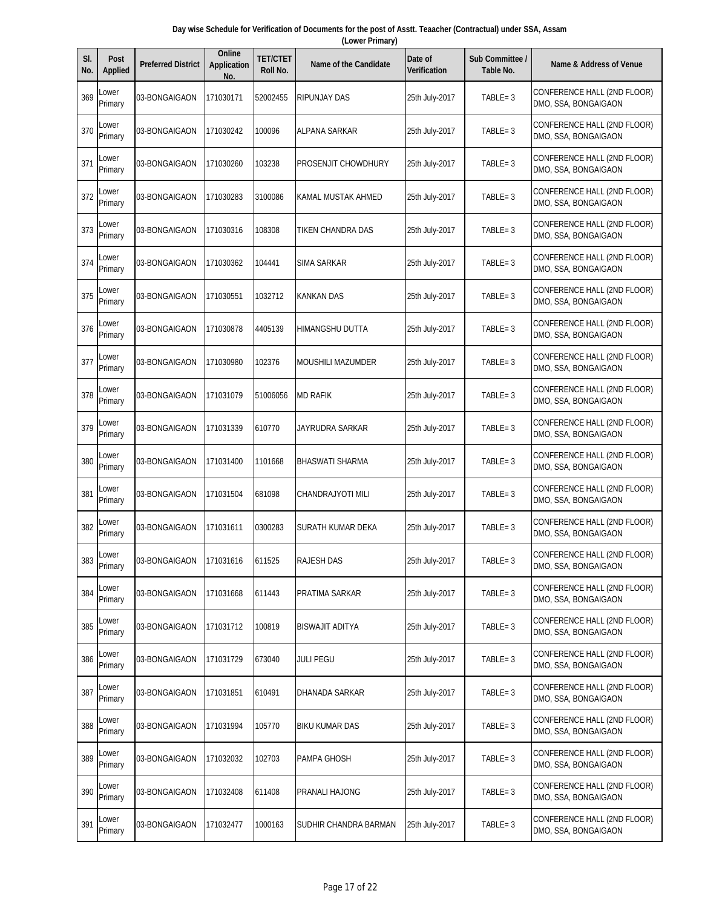|  | Day wise Schedule for Verification of Documents for the post of Asstt. Teaacher (Contractual) under SSA, Assam |  |  |
|--|----------------------------------------------------------------------------------------------------------------|--|--|
|  | (Lower Primary)                                                                                                |  |  |
|  |                                                                                                                |  |  |

| SI.<br>No. | Post<br><b>Applied</b> | <b>Preferred District</b> | Online<br><b>Application</b><br>No. | <b>TET/CTET</b><br>Roll No. | <b>Name of the Candidate</b> | Date of<br><b>Verification</b> | <b>Sub Committee /</b><br>Table No. | Name & Address of Venue                                    |
|------------|------------------------|---------------------------|-------------------------------------|-----------------------------|------------------------------|--------------------------------|-------------------------------------|------------------------------------------------------------|
| 369        | ower.<br>Primary       | 03-BONGAIGAON             | 171030171                           | 52002455                    | <b>RIPUNJAY DAS</b>          | 25th July-2017                 | $TABLE = 3$                         | CONFERENCE HALL (2ND FLOOR)<br>DMO, SSA, BONGAIGAON        |
| 370        | Lower<br>Primary       | 03-BONGAIGAON             | 171030242                           | 100096                      | ALPANA SARKAR                | 25th July-2017                 | $TABLE = 3$                         | CONFERENCE HALL (2ND FLOOR)<br>DMO, SSA, BONGAIGAON        |
| 371        | Lower<br>Primary       | 03-BONGAIGAON             | 171030260                           | 103238                      | PROSENJIT CHOWDHURY          | 25th July-2017                 | $TABLE = 3$                         | CONFERENCE HALL (2ND FLOOR)<br>DMO, SSA, BONGAIGAON        |
| 372        | Lower<br>Primary       | 03-BONGAIGAON             | 171030283                           | 3100086                     | KAMAL MUSTAK AHMED           | 25th July-2017                 | $TABLE = 3$                         | CONFERENCE HALL (2ND FLOOR)<br>DMO, SSA, BONGAIGAON        |
| 373        | Lower<br>Primary       | 03-BONGAIGAON             | 171030316                           | 108308                      | TIKEN CHANDRA DAS            | 25th July-2017                 | $TABLE = 3$                         | CONFERENCE HALL (2ND FLOOR)<br>DMO, SSA, BONGAIGAON        |
| 374        | Lower<br>Primary       | 03-BONGAIGAON             | 171030362                           | 104441                      | SIMA SARKAR                  | 25th July-2017                 | $TABLE = 3$                         | CONFERENCE HALL (2ND FLOOR)<br>DMO, SSA, BONGAIGAON        |
| 375        | Lower<br>Primary       | 03-BONGAIGAON             | 171030551                           | 1032712                     | KANKAN DAS                   | 25th July-2017                 | TABLE=3                             | CONFERENCE HALL (2ND FLOOR)<br>DMO, SSA, BONGAIGAON        |
| 376        | Lower<br>Primary       | 03-BONGAIGAON             | 171030878                           | 4405139                     | <b>HIMANGSHU DUTTA</b>       | 25th July-2017                 | $TABLE = 3$                         | CONFERENCE HALL (2ND FLOOR)<br>DMO, SSA, BONGAIGAON        |
| 377        | Lower<br>Primary       | 03-BONGAIGAON             | 171030980                           | 102376                      | <b>MOUSHILI MAZUMDER</b>     | 25th July-2017                 | $TABLE = 3$                         | CONFERENCE HALL (2ND FLOOR)<br>DMO, SSA, BONGAIGAON        |
| 378        | Lower<br>Primary       | 03-BONGAIGAON             | 171031079                           | 51006056                    | <b>MD RAFIK</b>              | 25th July-2017                 | $TABLE = 3$                         | CONFERENCE HALL (2ND FLOOR)<br>DMO, SSA, BONGAIGAON        |
| 379        | Lower<br>Primary       | 03-BONGAIGAON             | 171031339                           | 610770                      | JAYRUDRA SARKAR              | 25th July-2017                 | TABLE=3                             | CONFERENCE HALL (2ND FLOOR)<br>DMO, SSA, BONGAIGAON        |
| 380        | Lower<br>Primary       | 03-BONGAIGAON             | 171031400                           | 1101668                     | BHASWATI SHARMA              | 25th July-2017                 | $TABLE = 3$                         | CONFERENCE HALL (2ND FLOOR)<br>DMO, SSA, BONGAIGAON        |
| 381        | Lower<br>Primary       | 03-BONGAIGAON             | 171031504                           | 681098                      | CHANDRAJYOTI MILI            | 25th July-2017                 | $TABLE = 3$                         | CONFERENCE HALL (2ND FLOOR)<br>DMO, SSA, BONGAIGAON        |
| 382        | Lower<br>Primary       | 03-BONGAIGAON             | 171031611                           | 0300283                     | SURATH KUMAR DEKA            | 25th July-2017                 | $TABLE = 3$                         | CONFERENCE HALL (2ND FLOOR)<br>DMO, SSA, BONGAIGAON        |
| 383        | Lower<br>Primary       | 03-BONGAIGAON             | 171031616                           | 611525                      | <b>RAJESH DAS</b>            | 25th July-2017                 | TABLE=3                             | <b>CONFERENCE HALL (2ND FLOOR)</b><br>DMO, SSA, BONGAIGAON |
| 384        | Lower<br>Primary       | 03-BONGAIGAON             | 171031668                           | 611443                      | PRATIMA SARKAR               | 25th July-2017                 | TABLE=3                             | CONFERENCE HALL (2ND FLOOR)<br>DMO, SSA, BONGAIGAON        |
| 385        | Lower<br>Primary       | 03-BONGAIGAON             | 171031712                           | 100819                      | <b>BISWAJIT ADITYA</b>       | 25th July-2017                 | TABLE=3                             | CONFERENCE HALL (2ND FLOOR)<br>DMO, SSA, BONGAIGAON        |
| 386        | Lower<br>Primary       | 03-BONGAIGAON             | 171031729                           | 673040                      | JULI PEGU                    | 25th July-2017                 | $TABLE = 3$                         | CONFERENCE HALL (2ND FLOOR)<br>DMO, SSA, BONGAIGAON        |
| 387        | Lower<br>Primary       | 03-BONGAIGAON             | 171031851                           | 610491                      | DHANADA SARKAR               | 25th July-2017                 | TABLE=3                             | <b>CONFERENCE HALL (2ND FLOOR)</b><br>DMO, SSA, BONGAIGAON |
| 388        | Lower<br>Primary       | 03-BONGAIGAON             | 171031994                           | 105770                      | BIKU KUMAR DAS               | 25th July-2017                 | TABLE=3                             | CONFERENCE HALL (2ND FLOOR)<br>DMO, SSA, BONGAIGAON        |
| 389        | Lower<br>Primary       | 03-BONGAIGAON             | 171032032                           | 102703                      | PAMPA GHOSH                  | 25th July-2017                 | TABLE=3                             | CONFERENCE HALL (2ND FLOOR)<br>DMO, SSA, BONGAIGAON        |
| 390        | Lower<br>Primary       | 03-BONGAIGAON             | 171032408                           | 611408                      | PRANALI HAJONG               | 25th July-2017                 | $TABLE = 3$                         | CONFERENCE HALL (2ND FLOOR)<br>DMO, SSA, BONGAIGAON        |
| 391        | Lower<br>Primary       | 03-BONGAIGAON             | 171032477                           | 1000163                     | SUDHIR CHANDRA BARMAN        | 25th July-2017                 | $TABLE = 3$                         | CONFERENCE HALL (2ND FLOOR)<br>DMO, SSA, BONGAIGAON        |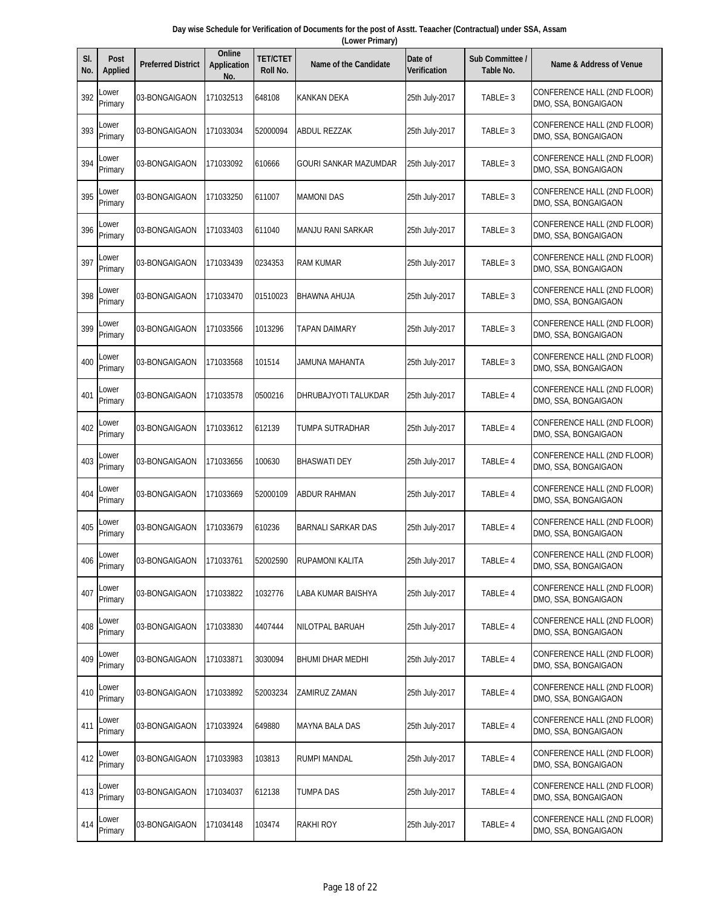|  | Day wise Schedule for Verification of Documents for the post of Asstt. Teaacher (Contractual) under SSA, Assam |  |  |
|--|----------------------------------------------------------------------------------------------------------------|--|--|
|  | (Lower Primary)                                                                                                |  |  |
|  |                                                                                                                |  |  |

| SI.<br>No. | <b>Post</b><br><b>Applied</b> | <b>Preferred District</b> | Online<br><b>Application</b><br>No. | <b>TET/CTET</b><br>Roll No. | <b>Name of the Candidate</b> | Date of<br>Verification | Sub Committee /<br>Table No. | <b>Name &amp; Address of Venue</b>                  |
|------------|-------------------------------|---------------------------|-------------------------------------|-----------------------------|------------------------------|-------------------------|------------------------------|-----------------------------------------------------|
| 392        | .ower<br>Primary              | 03-BONGAIGAON             | 171032513                           | 648108                      | KANKAN DEKA                  | 25th July-2017          | $TABLE = 3$                  | CONFERENCE HALL (2ND FLOOR)<br>DMO, SSA, BONGAIGAON |
| 393        | Lower<br>Primary              | 03-BONGAIGAON             | 171033034                           | 52000094                    | ABDUL REZZAK                 | 25th July-2017          | $TABLE = 3$                  | CONFERENCE HALL (2ND FLOOR)<br>DMO, SSA, BONGAIGAON |
| 394        | Lower<br>Primary              | 03-BONGAIGAON             | 171033092                           | 610666                      | GOURI SANKAR MAZUMDAR        | 25th July-2017          | $TABLE = 3$                  | CONFERENCE HALL (2ND FLOOR)<br>DMO, SSA, BONGAIGAON |
| 395        | Lower<br>Primary              | 03-BONGAIGAON             | 171033250                           | 611007                      | <b>MAMONI DAS</b>            | 25th July-2017          | $TABLE = 3$                  | CONFERENCE HALL (2ND FLOOR)<br>DMO, SSA, BONGAIGAON |
| 396        | Lower<br>Primary              | 03-BONGAIGAON             | 171033403                           | 611040                      | <b>MANJU RANI SARKAR</b>     | 25th July-2017          | $TABLE = 3$                  | CONFERENCE HALL (2ND FLOOR)<br>DMO, SSA, BONGAIGAON |
| 397        | Lower<br>Primary              | 03-BONGAIGAON             | 171033439                           | 0234353                     | RAM KUMAR                    | 25th July-2017          | TABLE=3                      | CONFERENCE HALL (2ND FLOOR)<br>DMO, SSA, BONGAIGAON |
| 398        | _ower<br>Primary              | 03-BONGAIGAON             | 171033470                           | 01510023                    | <b>BHAWNA AHUJA</b>          | 25th July-2017          | $TABLE = 3$                  | CONFERENCE HALL (2ND FLOOR)<br>DMO, SSA, BONGAIGAON |
| 399        | Lower<br>Primary              | 03-BONGAIGAON             | 171033566                           | 1013296                     | <b>TAPAN DAIMARY</b>         | 25th July-2017          | $TABLE = 3$                  | CONFERENCE HALL (2ND FLOOR)<br>DMO, SSA, BONGAIGAON |
| 400        | Lower<br>Primary              | 03-BONGAIGAON             | 171033568                           | 101514                      | JAMUNA MAHANTA               | 25th July-2017          | $TABLE = 3$                  | CONFERENCE HALL (2ND FLOOR)<br>DMO, SSA, BONGAIGAON |
| 401        | Lower<br>Primary              | 03-BONGAIGAON             | 171033578                           | 0500216                     | DHRUBAJYOTI TALUKDAR         | 25th July-2017          | $TABLE = 4$                  | CONFERENCE HALL (2ND FLOOR)<br>DMO, SSA, BONGAIGAON |
| 402        | Lower<br>Primary              | 03-BONGAIGAON             | 171033612                           | 612139                      | TUMPA SUTRADHAR              | 25th July-2017          | $TABLE = 4$                  | CONFERENCE HALL (2ND FLOOR)<br>DMO, SSA, BONGAIGAON |
| 403        | Lower<br>Primary              | 03-BONGAIGAON             | 171033656                           | 100630                      | <b>BHASWATI DEY</b>          | 25th July-2017          | $TABLE = 4$                  | CONFERENCE HALL (2ND FLOOR)<br>DMO, SSA, BONGAIGAON |
| 404        | Lower<br>Primary              | 03-BONGAIGAON             | 171033669                           | 52000109                    | ABDUR RAHMAN                 | 25th July-2017          | $TABLE = 4$                  | CONFERENCE HALL (2ND FLOOR)<br>DMO, SSA, BONGAIGAON |
| 405        | Lower<br>Primary              | 03-BONGAIGAON             | 171033679                           | 610236                      | <b>BARNALI SARKAR DAS</b>    | 25th July-2017          | $TABLE = 4$                  | CONFERENCE HALL (2ND FLOOR)<br>DMO, SSA, BONGAIGAON |
| 406        | Lower<br>Primary              | 03-BONGAIGAON             | 171033761                           | 52002590                    | RUPAMONI KALITA              | 25th July-2017          | $TABLE = 4$                  | CONFERENCE HALL (2ND FLOOR)<br>DMO, SSA, BONGAIGAON |
| 407        | Lower<br>Primary              | 03-BONGAIGAON             | 171033822                           | 1032776                     | LABA KUMAR BAISHYA           | 25th July-2017          | $TABLE = 4$                  | CONFERENCE HALL (2ND FLOOR)<br>DMO, SSA, BONGAIGAON |
| 408        | Lower<br>Primary              | 03-BONGAIGAON             | 171033830                           | 4407444                     | NILOTPAL BARUAH              | 25th July-2017          | TABLE=4                      | CONFERENCE HALL (2ND FLOOR)<br>DMO, SSA, BONGAIGAON |
| 409        | Lower<br>Primary              | 03-BONGAIGAON             | 171033871                           | 3030094                     | BHUMI DHAR MEDHI             | 25th July-2017          | $TABLE = 4$                  | CONFERENCE HALL (2ND FLOOR)<br>DMO, SSA, BONGAIGAON |
| 410        | Lower<br>Primary              | 03-BONGAIGAON             | 171033892                           | 52003234                    | ZAMIRUZ ZAMAN                | 25th July-2017          | $TABLE = 4$                  | CONFERENCE HALL (2ND FLOOR)<br>DMO, SSA, BONGAIGAON |
| 411        | Lower<br>Primary              | 03-BONGAIGAON             | 171033924                           | 649880                      | MAYNA BALA DAS               | 25th July-2017          | TABLE= 4                     | CONFERENCE HALL (2ND FLOOR)<br>DMO, SSA, BONGAIGAON |
| 412        | Lower<br>Primary              | 03-BONGAIGAON             | 171033983                           | 103813                      | <b>RUMPI MANDAL</b>          | 25th July-2017          | TABLE= 4                     | CONFERENCE HALL (2ND FLOOR)<br>DMO, SSA, BONGAIGAON |
| 413        | Lower<br>Primary              | 03-BONGAIGAON             | 171034037                           | 612138                      | TUMPA DAS                    | 25th July-2017          | TABLE=4                      | CONFERENCE HALL (2ND FLOOR)<br>DMO, SSA, BONGAIGAON |
| 414        | Lower<br>Primary              | 03-BONGAIGAON             | 171034148                           | 103474                      | RAKHI ROY                    | 25th July-2017          | $TABLE = 4$                  | CONFERENCE HALL (2ND FLOOR)<br>DMO, SSA, BONGAIGAON |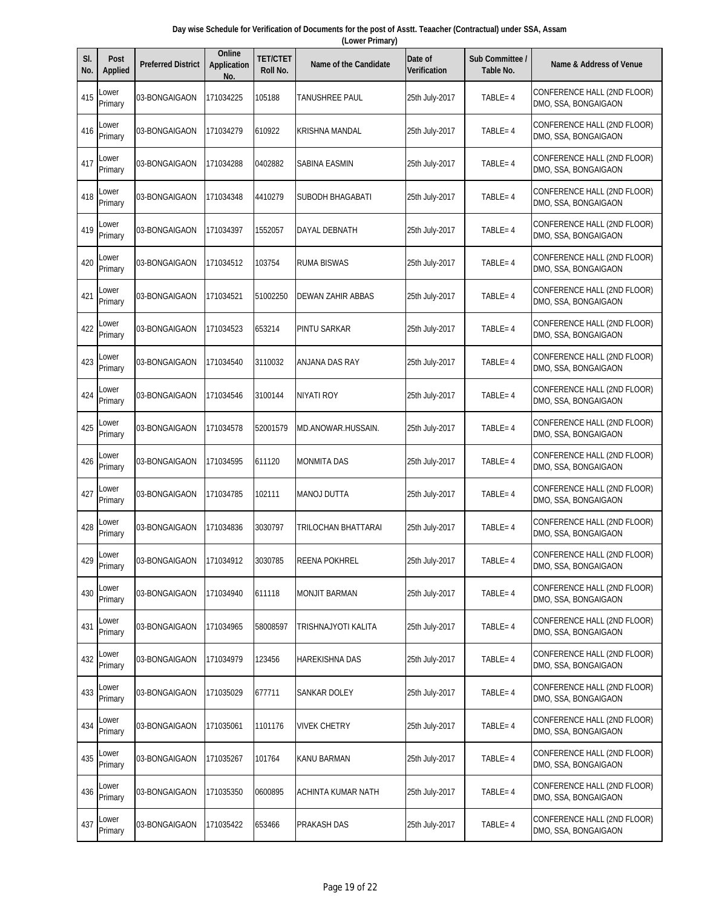| Day wise Schedule for Verification of Documents for the post of Asstt. Teaacher (Contractual) under SSA, Assam |  |  |  |  |  |  |  |  |  |
|----------------------------------------------------------------------------------------------------------------|--|--|--|--|--|--|--|--|--|
| (Lower Primary)                                                                                                |  |  |  |  |  |  |  |  |  |
|                                                                                                                |  |  |  |  |  |  |  |  |  |

| SI.<br>No. | <b>Post</b><br><b>Applied</b> | <b>Preferred District</b> | Online<br><b>Application</b><br>No. | <b>TET/CTET</b><br>Roll No. | <b>Name of the Candidate</b> | Date of<br><b>Verification</b> | Sub Committee /<br>Table No. | Name & Address of Venue                                    |
|------------|-------------------------------|---------------------------|-------------------------------------|-----------------------------|------------------------------|--------------------------------|------------------------------|------------------------------------------------------------|
| 415        | _ower<br>Primary              | 03-BONGAIGAON             | 171034225                           | 105188                      | TANUSHREE PAUL               | 25th July-2017                 | $TABLE = 4$                  | CONFERENCE HALL (2ND FLOOR)<br>DMO, SSA, BONGAIGAON        |
| 416        | Lower<br>Primary              | 03-BONGAIGAON             | 171034279                           | 610922                      | KRISHNA MANDAL               | 25th July-2017                 | $TABLE = 4$                  | CONFERENCE HALL (2ND FLOOR)<br>DMO, SSA, BONGAIGAON        |
| 417        | Lower<br>Primary              | 03-BONGAIGAON             | 171034288                           | 0402882                     | SABINA EASMIN                | 25th July-2017                 | $TABLE = 4$                  | CONFERENCE HALL (2ND FLOOR)<br>DMO, SSA, BONGAIGAON        |
| 418        | Lower<br>Primary              | 03-BONGAIGAON             | 171034348                           | 4410279                     | SUBODH BHAGABATI             | 25th July-2017                 | $TABLE = 4$                  | CONFERENCE HALL (2ND FLOOR)<br>DMO, SSA, BONGAIGAON        |
| 419        | Lower<br>Primary              | 03-BONGAIGAON             | 171034397                           | 1552057                     | DAYAL DEBNATH                | 25th July-2017                 | $TABLE = 4$                  | CONFERENCE HALL (2ND FLOOR)<br>DMO, SSA, BONGAIGAON        |
| 420        | Lower<br>Primary              | 03-BONGAIGAON             | 171034512                           | 103754                      | RUMA BISWAS                  | 25th July-2017                 | TABLE= 4                     | CONFERENCE HALL (2ND FLOOR)<br>DMO, SSA, BONGAIGAON        |
| 421        | Lower<br>Primary              | 03-BONGAIGAON             | 171034521                           | 51002250                    | DEWAN ZAHIR ABBAS            | 25th July-2017                 | $TABLE = 4$                  | CONFERENCE HALL (2ND FLOOR)<br>DMO, SSA, BONGAIGAON        |
| 422        | Lower<br>Primary              | 03-BONGAIGAON             | 171034523                           | 653214                      | PINTU SARKAR                 | 25th July-2017                 | $TABLE = 4$                  | CONFERENCE HALL (2ND FLOOR)<br>DMO, SSA, BONGAIGAON        |
| 423        | Lower<br>Primary              | 03-BONGAIGAON             | 171034540                           | 3110032                     | ANJANA DAS RAY               | 25th July-2017                 | $TABLE = 4$                  | CONFERENCE HALL (2ND FLOOR)<br>DMO, SSA, BONGAIGAON        |
| 424        | Lower<br>Primary              | 03-BONGAIGAON             | 171034546                           | 3100144                     | NIYATI ROY                   | 25th July-2017                 | $TABLE = 4$                  | CONFERENCE HALL (2ND FLOOR)<br>DMO, SSA, BONGAIGAON        |
| 425        | Lower<br>Primary              | 03-BONGAIGAON             | 171034578                           | 52001579                    | MD.ANOWAR.HUSSAIN.           | 25th July-2017                 | $TABLE = 4$                  | CONFERENCE HALL (2ND FLOOR)<br>DMO, SSA, BONGAIGAON        |
| 426        | Lower<br>Primary              | 03-BONGAIGAON             | 171034595                           | 611120                      | <b>MONMITA DAS</b>           | 25th July-2017                 | $TABLE = 4$                  | CONFERENCE HALL (2ND FLOOR)<br>DMO, SSA, BONGAIGAON        |
| 427        | Lower<br>Primary              | 03-BONGAIGAON             | 171034785                           | 102111                      | <b>MANOJ DUTTA</b>           | 25th July-2017                 | $TABLE = 4$                  | CONFERENCE HALL (2ND FLOOR)<br>DMO, SSA, BONGAIGAON        |
| 428        | Lower<br>Primary              | 03-BONGAIGAON             | 171034836                           | 3030797                     | TRILOCHAN BHATTARAI          | 25th July-2017                 | $TABLE = 4$                  | CONFERENCE HALL (2ND FLOOR)<br>DMO, SSA, BONGAIGAON        |
| 429        | Lower<br>Primary              | 03-BONGAIGAON             | 171034912                           | 3030785                     | <b>REENA POKHREL</b>         | 25th July-2017                 | $TABLE = 4$                  | <b>CONFERENCE HALL (2ND FLOOR)</b><br>DMO, SSA, BONGAIGAON |
| 430        | Lower<br>Primary              | 03-BONGAIGAON             | 171034940                           | 611118                      | <b>MONJIT BARMAN</b>         | 25th July-2017                 | $TABLE = 4$                  | CONFERENCE HALL (2ND FLOOR)<br>DMO, SSA, BONGAIGAON        |
| 431        | Lower<br>Primary              | 03-BONGAIGAON             | 171034965                           | 58008597                    | TRISHNAJYOTI KALITA          | 25th July-2017                 | TABLE= 4                     | CONFERENCE HALL (2ND FLOOR)<br>DMO, SSA, BONGAIGAON        |
| 432        | Lower<br>Primary              | 03-BONGAIGAON             | 171034979                           | 123456                      | HAREKISHNA DAS               | 25th July-2017                 | TABLE= 4                     | CONFERENCE HALL (2ND FLOOR)<br>DMO, SSA, BONGAIGAON        |
| 433        | Lower<br>Primary              | 03-BONGAIGAON             | 171035029                           | 677711                      | SANKAR DOLEY                 | 25th July-2017                 | TABLE= 4                     | CONFERENCE HALL (2ND FLOOR)<br>DMO, SSA, BONGAIGAON        |
| 434        | Lower<br>Primary              | 03-BONGAIGAON             | 171035061                           | 1101176                     | VIVEK CHETRY                 | 25th July-2017                 | $TABLE = 4$                  | CONFERENCE HALL (2ND FLOOR)<br>DMO, SSA, BONGAIGAON        |
| 435        | Lower<br>Primary              | 03-BONGAIGAON             | 171035267                           | 101764                      | KANU BARMAN                  | 25th July-2017                 | $TABLE = 4$                  | CONFERENCE HALL (2ND FLOOR)<br>DMO, SSA, BONGAIGAON        |
| 436        | Lower<br>Primary              | 03-BONGAIGAON             | 171035350                           | 0600895                     | ACHINTA KUMAR NATH           | 25th July-2017                 | $TABLE = 4$                  | CONFERENCE HALL (2ND FLOOR)<br>DMO, SSA, BONGAIGAON        |
| 437        | Lower<br>Primary              | 03-BONGAIGAON             | 171035422                           | 653466                      | PRAKASH DAS                  | 25th July-2017                 | TABLE= 4                     | CONFERENCE HALL (2ND FLOOR)<br>DMO, SSA, BONGAIGAON        |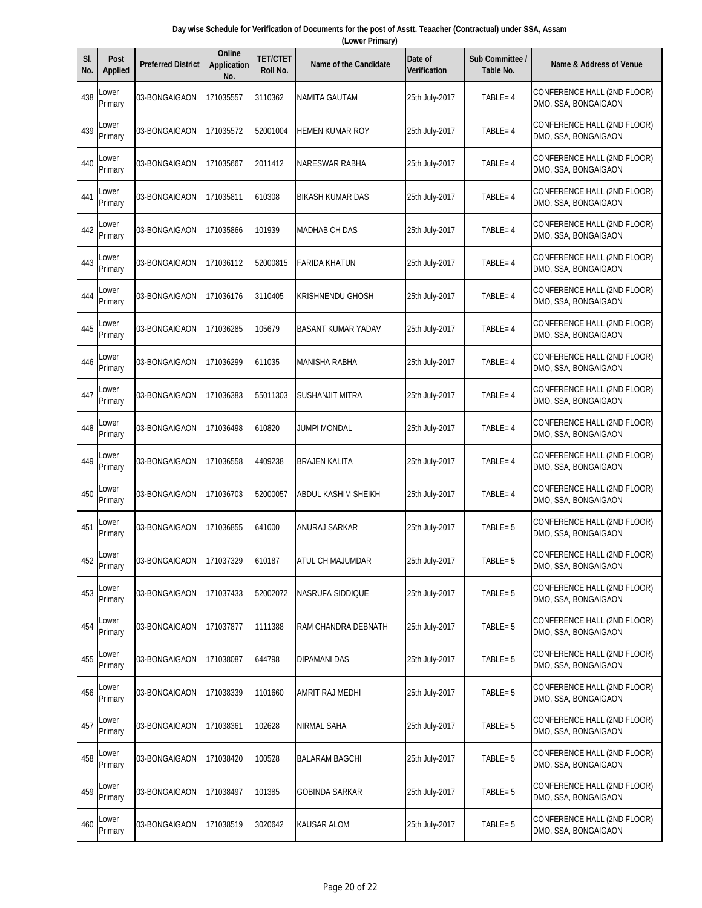| Day wise Schedule for Verification of Documents for the post of Asstt. Teaacher (Contractual) under SSA, Assam |  |  |  |  |  |  |  |  |  |
|----------------------------------------------------------------------------------------------------------------|--|--|--|--|--|--|--|--|--|
| (Lower Primary)                                                                                                |  |  |  |  |  |  |  |  |  |
|                                                                                                                |  |  |  |  |  |  |  |  |  |

| SI.<br>No. | <b>Post</b><br><b>Applied</b> | <b>Preferred District</b> | Online<br><b>Application</b><br>No. | <b>TET/CTET</b><br>Roll No. | <b>Name of the Candidate</b> | Date of<br><b>Verification</b> | Sub Committee /<br>Table No. | <b>Name &amp; Address of Venue</b>                  |
|------------|-------------------------------|---------------------------|-------------------------------------|-----------------------------|------------------------------|--------------------------------|------------------------------|-----------------------------------------------------|
| 438        | Lower<br>Primary              | 03-BONGAIGAON             | 171035557                           | 3110362                     | NAMITA GAUTAM                | 25th July-2017                 | $TABLE = 4$                  | CONFERENCE HALL (2ND FLOOR)<br>DMO, SSA, BONGAIGAON |
| 439        | Lower<br>Primary              | 03-BONGAIGAON             | 171035572                           | 52001004                    | <b>HEMEN KUMAR ROY</b>       | 25th July-2017                 | $TABLE = 4$                  | CONFERENCE HALL (2ND FLOOR)<br>DMO, SSA, BONGAIGAON |
| 440        | Lower<br>Primary              | 03-BONGAIGAON             | 171035667                           | 2011412                     | <b>NARESWAR RABHA</b>        | 25th July-2017                 | $TABLE = 4$                  | CONFERENCE HALL (2ND FLOOR)<br>DMO, SSA, BONGAIGAON |
| 441        | _ower<br>Primary              | 03-BONGAIGAON             | 171035811                           | 610308                      | <b>BIKASH KUMAR DAS</b>      | 25th July-2017                 | $TABLE = 4$                  | CONFERENCE HALL (2ND FLOOR)<br>DMO, SSA, BONGAIGAON |
| 442        | Lower<br>Primary              | 03-BONGAIGAON             | 171035866                           | 101939                      | <b>MADHAB CH DAS</b>         | 25th July-2017                 | $TABLE = 4$                  | CONFERENCE HALL (2ND FLOOR)<br>DMO, SSA, BONGAIGAON |
| 443        | Lower<br>Primary              | 03-BONGAIGAON             | 171036112                           | 52000815                    | FARIDA KHATUN                | 25th July-2017                 | $TABLE = 4$                  | CONFERENCE HALL (2ND FLOOR)<br>DMO, SSA, BONGAIGAON |
| 444        | Lower<br>Primary              | 03-BONGAIGAON             | 171036176                           | 3110405                     | KRISHNENDU GHOSH             | 25th July-2017                 | $TABLE = 4$                  | CONFERENCE HALL (2ND FLOOR)<br>DMO, SSA, BONGAIGAON |
| 445        | Lower<br>Primary              | 03-BONGAIGAON             | 171036285                           | 105679                      | <b>BASANT KUMAR YADAV</b>    | 25th July-2017                 | $TABLE = 4$                  | CONFERENCE HALL (2ND FLOOR)<br>DMO, SSA, BONGAIGAON |
| 446        | _ower<br>Primary              | 03-BONGAIGAON             | 171036299                           | 611035                      | <b>MANISHA RABHA</b>         | 25th July-2017                 | $TABLE = 4$                  | CONFERENCE HALL (2ND FLOOR)<br>DMO, SSA, BONGAIGAON |
| 447        | Lower<br>Primary              | 03-BONGAIGAON             | 171036383                           | 55011303                    | SUSHANJIT MITRA              | 25th July-2017                 | $TABLE = 4$                  | CONFERENCE HALL (2ND FLOOR)<br>DMO, SSA, BONGAIGAON |
| 448        | Lower<br>Primary              | 03-BONGAIGAON             | 171036498                           | 610820                      | JUMPI MONDAL                 | 25th July-2017                 | $TABLE = 4$                  | CONFERENCE HALL (2ND FLOOR)<br>DMO, SSA, BONGAIGAON |
| 449        | Lower<br>Primary              | 03-BONGAIGAON             | 171036558                           | 4409238                     | <b>BRAJEN KALITA</b>         | 25th July-2017                 | $TABLE = 4$                  | CONFERENCE HALL (2ND FLOOR)<br>DMO, SSA, BONGAIGAON |
| 450        | Lower<br>Primary              | 03-BONGAIGAON             | 171036703                           | 52000057                    | ABDUL KASHIM SHEIKH          | 25th July-2017                 | $TABLE = 4$                  | CONFERENCE HALL (2ND FLOOR)<br>DMO, SSA, BONGAIGAON |
| 451        | Lower<br>Primary              | 03-BONGAIGAON             | 171036855                           | 641000                      | ANURAJ SARKAR                | 25th July-2017                 | $TABLE = 5$                  | CONFERENCE HALL (2ND FLOOR)<br>DMO, SSA, BONGAIGAON |
| 452        | Lower<br>Primary              | 03-BONGAIGAON             | 171037329                           | 610187                      | ATUL CH MAJUMDAR             | 25th July-2017                 | $TABLE = 5$                  | CONFERENCE HALL (2ND FLOOR)<br>DMO, SSA, BONGAIGAON |
| 453        | Lower<br>Primary              | 03-BONGAIGAON             | 171037433                           | 52002072                    | NASRUFA SIDDIQUE             | 25th July-2017                 | $TABLE = 5$                  | CONFERENCE HALL (2ND FLOOR)<br>DMO, SSA, BONGAIGAON |
| 454        | Lower<br>Primary              | 03-BONGAIGAON             | 171037877                           | 1111388                     | RAM CHANDRA DEBNATH          | 25th July-2017                 | $TABLE = 5$                  | CONFERENCE HALL (2ND FLOOR)<br>DMO, SSA, BONGAIGAON |
| 455        | Lower<br>Primary              | 03-BONGAIGAON             | 171038087                           | 644798                      | DIPAMANI DAS                 | 25th July-2017                 | $TABLE = 5$                  | CONFERENCE HALL (2ND FLOOR)<br>DMO, SSA, BONGAIGAON |
| 456        | Lower<br>Primary              | 03-BONGAIGAON             | 171038339                           | 1101660                     | <b>AMRIT RAJ MEDHI</b>       | 25th July-2017                 | $TABLE = 5$                  | CONFERENCE HALL (2ND FLOOR)<br>DMO, SSA, BONGAIGAON |
| 457        | Lower<br>Primary              | 03-BONGAIGAON             | 171038361                           | 102628                      | NIRMAL SAHA                  | 25th July-2017                 | $TABLE = 5$                  | CONFERENCE HALL (2ND FLOOR)<br>DMO, SSA, BONGAIGAON |
| 458        | Lower<br>Primary              | 03-BONGAIGAON             | 171038420                           | 100528                      | <b>BALARAM BAGCHI</b>        | 25th July-2017                 | TABLE= 5                     | CONFERENCE HALL (2ND FLOOR)<br>DMO, SSA, BONGAIGAON |
| 459        | Lower<br>Primary              | 03-BONGAIGAON             | 171038497                           | 101385                      | <b>GOBINDA SARKAR</b>        | 25th July-2017                 | TABLE= 5                     | CONFERENCE HALL (2ND FLOOR)<br>DMO, SSA, BONGAIGAON |
| 460        | Lower<br>Primary              | 03-BONGAIGAON             | 171038519                           | 3020642                     | KAUSAR ALOM                  | 25th July-2017                 | TABLE= 5                     | CONFERENCE HALL (2ND FLOOR)<br>DMO, SSA, BONGAIGAON |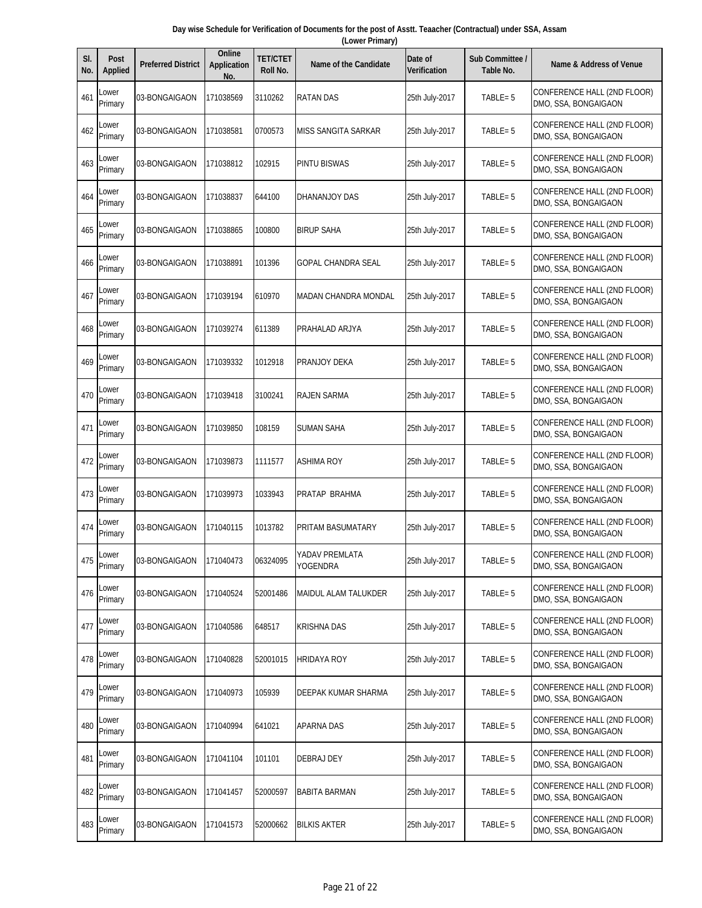| Day wise Schedule for Verification of Documents for the post of Asstt. Teaacher (Contractual) under SSA, Assam |  |
|----------------------------------------------------------------------------------------------------------------|--|
| (Lower Primary)                                                                                                |  |

| SI.<br>No. | <b>Post</b><br><b>Applied</b> | <b>Preferred District</b> | Online<br><b>Application</b><br>No. | <b>TET/CTET</b><br>Roll No. | <b>Name of the Candidate</b> | Date of<br>Verification | <b>Sub Committee /</b><br>Table No. | Name & Address of Venue                             |
|------------|-------------------------------|---------------------------|-------------------------------------|-----------------------------|------------------------------|-------------------------|-------------------------------------|-----------------------------------------------------|
| 461        | Lower<br>Primary              | 03-BONGAIGAON             | 171038569                           | 3110262                     | RATAN DAS                    | 25th July-2017          | TABLE=5                             | CONFERENCE HALL (2ND FLOOR)<br>DMO, SSA, BONGAIGAON |
| 462        | Lower<br>Primary              | 03-BONGAIGAON             | 171038581                           | 0700573                     | MISS SANGITA SARKAR          | 25th July-2017          | $TABLE = 5$                         | CONFERENCE HALL (2ND FLOOR)<br>DMO, SSA, BONGAIGAON |
| 463        | Lower<br>Primary              | 03-BONGAIGAON             | 171038812                           | 102915                      | PINTU BISWAS                 | 25th July-2017          | $TABLE = 5$                         | CONFERENCE HALL (2ND FLOOR)<br>DMO, SSA, BONGAIGAON |
| 464        | Lower<br>Primary              | 03-BONGAIGAON             | 171038837                           | 644100                      | DHANANJOY DAS                | 25th July-2017          | $TABLE = 5$                         | CONFERENCE HALL (2ND FLOOR)<br>DMO, SSA, BONGAIGAON |
| 465        | Lower<br>Primary              | 03-BONGAIGAON             | 171038865                           | 100800                      | <b>BIRUP SAHA</b>            | 25th July-2017          | $TABLE = 5$                         | CONFERENCE HALL (2ND FLOOR)<br>DMO, SSA, BONGAIGAON |
| 466        | Lower<br>Primary              | 03-BONGAIGAON             | 171038891                           | 101396                      | <b>GOPAL CHANDRA SEAL</b>    | 25th July-2017          | $TABLE = 5$                         | CONFERENCE HALL (2ND FLOOR)<br>DMO, SSA, BONGAIGAON |
| 467        | Lower<br>Primary              | 03-BONGAIGAON             | 171039194                           | 610970                      | <b>MADAN CHANDRA MONDAL</b>  | 25th July-2017          | $TABLE = 5$                         | CONFERENCE HALL (2ND FLOOR)<br>DMO, SSA, BONGAIGAON |
| 468        | Lower<br>Primary              | 03-BONGAIGAON             | 171039274                           | 611389                      | PRAHALAD ARJYA               | 25th July-2017          | $TABLE = 5$                         | CONFERENCE HALL (2ND FLOOR)<br>DMO, SSA, BONGAIGAON |
| 469        | Lower<br>Primary              | 03-BONGAIGAON             | 171039332                           | 1012918                     | PRANJOY DEKA                 | 25th July-2017          | $TABLE = 5$                         | CONFERENCE HALL (2ND FLOOR)<br>DMO, SSA, BONGAIGAON |
| 470        | Lower<br>Primary              | 03-BONGAIGAON             | 171039418                           | 3100241                     | <b>RAJEN SARMA</b>           | 25th July-2017          | $TABLE = 5$                         | CONFERENCE HALL (2ND FLOOR)<br>DMO, SSA, BONGAIGAON |
| 471        | Lower<br>Primary              | 03-BONGAIGAON             | 171039850                           | 108159                      | SUMAN SAHA                   | 25th July-2017          | $TABLE = 5$                         | CONFERENCE HALL (2ND FLOOR)<br>DMO, SSA, BONGAIGAON |
| 472        | Lower<br>Primary              | 03-BONGAIGAON             | 171039873                           | 1111577                     | <b>ASHIMA ROY</b>            | 25th July-2017          | TABLE= 5                            | CONFERENCE HALL (2ND FLOOR)<br>DMO, SSA, BONGAIGAON |
| 473        | Lower<br>Primary              | 03-BONGAIGAON             | 171039973                           | 1033943                     | PRATAP BRAHMA                | 25th July-2017          | $TABLE = 5$                         | CONFERENCE HALL (2ND FLOOR)<br>DMO, SSA, BONGAIGAON |
| 474        | Lower<br>Primary              | 03-BONGAIGAON             | 171040115                           | 1013782                     | PRITAM BASUMATARY            | 25th July-2017          | $TABLE = 5$                         | CONFERENCE HALL (2ND FLOOR)<br>DMO, SSA, BONGAIGAON |
| 475        | Lower<br>Primary              | 03-BONGAIGAON             | 171040473                           | 06324095                    | YADAV PREMLATA<br>YOGENDRA   | 25th July-2017          | TABLE= 5                            | CONFERENCE HALL (2ND FLOOR)<br>DMO, SSA, BONGAIGAON |
| 476        | Lower<br>Primary              | 03-BONGAIGAON             | 171040524                           | 52001486                    | MAIDUL ALAM TALUKDER         | 25th July-2017          | TABLE= 5                            | CONFERENCE HALL (2ND FLOOR)<br>DMO, SSA, BONGAIGAON |
| 477        | Lower<br>Primary              | 03-BONGAIGAON             | 171040586                           | 648517                      | <b>KRISHNA DAS</b>           | 25th July-2017          | TABLE= 5                            | CONFERENCE HALL (2ND FLOOR)<br>DMO, SSA, BONGAIGAON |
| 478        | Lower<br>Primary              | 03-BONGAIGAON             | 171040828                           | 52001015                    | <b>HRIDAYA ROY</b>           | 25th July-2017          | TABLE= 5                            | CONFERENCE HALL (2ND FLOOR)<br>DMO, SSA, BONGAIGAON |
| 479        | Lower<br>Primary              | 03-BONGAIGAON             | 171040973                           | 105939                      | DEEPAK KUMAR SHARMA          | 25th July-2017          | TABLE=5                             | CONFERENCE HALL (2ND FLOOR)<br>DMO, SSA, BONGAIGAON |
| 480        | Lower<br>Primary              | 03-BONGAIGAON             | 171040994                           | 641021                      | APARNA DAS                   | 25th July-2017          | TABLE= 5                            | CONFERENCE HALL (2ND FLOOR)<br>DMO, SSA, BONGAIGAON |
| 481        | Lower<br>Primary              | 03-BONGAIGAON             | 171041104                           | 101101                      | DEBRAJ DEY                   | 25th July-2017          | TABLE= 5                            | CONFERENCE HALL (2ND FLOOR)<br>DMO, SSA, BONGAIGAON |
| 482        | Lower<br>Primary              | 03-BONGAIGAON             | 171041457                           | 52000597                    | BABITA BARMAN                | 25th July-2017          | TABLE= 5                            | CONFERENCE HALL (2ND FLOOR)<br>DMO, SSA, BONGAIGAON |
| 483        | Lower<br>Primary              | 03-BONGAIGAON             | 171041573                           | 52000662                    | <b>BILKIS AKTER</b>          | 25th July-2017          | $TABLE = 5$                         | CONFERENCE HALL (2ND FLOOR)<br>DMO, SSA, BONGAIGAON |